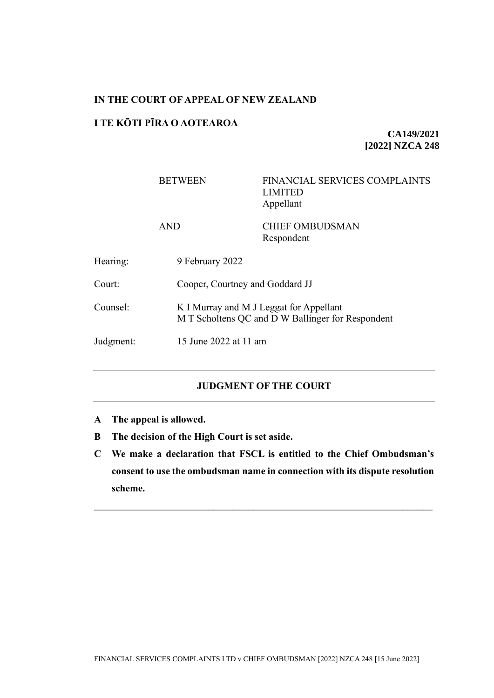# **IN THE COURT OF APPEAL OF NEW ZEALAND**

## **I TE KŌTI PĪRA O AOTEAROA**

**CA149/2021 [2022] NZCA 248**

|           | <b>BETWEEN</b>  | FINANCIAL SERVICES COMPLAINTS<br><b>LIMITED</b><br>Appellant                                 |  |
|-----------|-----------------|----------------------------------------------------------------------------------------------|--|
|           | <b>AND</b>      | <b>CHIEF OMBUDSMAN</b><br>Respondent                                                         |  |
| Hearing:  | 9 February 2022 |                                                                                              |  |
| Court:    |                 | Cooper, Courtney and Goddard JJ                                                              |  |
| Counsel:  |                 | K I Murray and M J Leggat for Appellant<br>M T Scholtens QC and D W Ballinger for Respondent |  |
| Judgment: |                 | 15 June 2022 at 11 am                                                                        |  |

# **JUDGMENT OF THE COURT**

- **A The appeal is allowed.**
- **B The decision of the High Court is set aside.**
- **C We make a declaration that FSCL is entitled to the Chief Ombudsman's consent to use the ombudsman name in connection with its dispute resolution scheme.**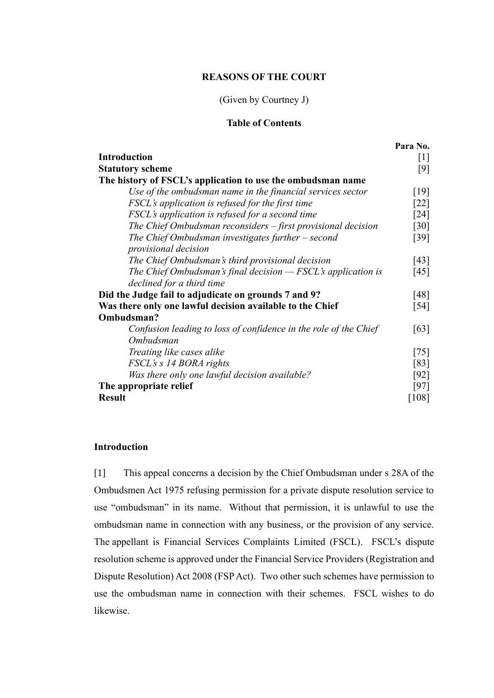## **REASONS OF THE COURT**

# (Given by Courtney J)

## **Table of Contents**

|                                                                  | Para No.           |
|------------------------------------------------------------------|--------------------|
| <b>Introduction</b>                                              | $[1]$              |
| <b>Statutory scheme</b>                                          | [9]                |
| The history of FSCL's application to use the ombudsman name      |                    |
| Use of the ombudsman name in the financial services sector       | [19]               |
| FSCL's application is refused for the first time                 | $\lceil 22 \rceil$ |
| <i>FSCL's application is refused for a second time</i>           | $\lceil 24 \rceil$ |
| The Chief Ombudsman reconsiders $-$ first provisional decision   | $\lceil 30 \rceil$ |
| The Chief Ombudsman investigates further $-$ second              | [39]               |
| <i>provisional decision</i>                                      |                    |
| The Chief Ombudsman's third provisional decision                 | [43]               |
| The Chief Ombudsman's final decision $-$ FSCL's application is   | [45]               |
| declined for a third time                                        |                    |
| Did the Judge fail to adjudicate on grounds 7 and 9?             |                    |
| Was there only one lawful decision available to the Chief        |                    |
| Ombudsman?                                                       | $[54]$             |
| Confusion leading to loss of confidence in the role of the Chief | [63]               |
| Ombudsman                                                        |                    |
| Treating like cases alike                                        | $[75]$             |
| FSCL's s 14 BORA rights                                          | [83]               |
| Was there only one lawful decision available?                    | $[92]$             |
| The appropriate relief                                           |                    |
| <b>Result</b>                                                    | [108]              |

## **Introduction**

<span id="page-1-0"></span>[1] This appeal concerns a decision by the Chief Ombudsman under s 28A of the Ombudsmen Act 1975 refusing permission for a private dispute resolution service to use "ombudsman" in its name. Without that permission, it is unlawful to use the ombudsman name in connection with any business, or the provision of any service. The appellant is Financial Services Complaints Limited (FSCL). FSCL's dispute resolution scheme is approved under the Financial Service Providers (Registration and Dispute Resolution) Act 2008 (FSP Act). Two other such schemes have permission to use the ombudsman name in connection with their schemes. FSCL wishes to do likewise.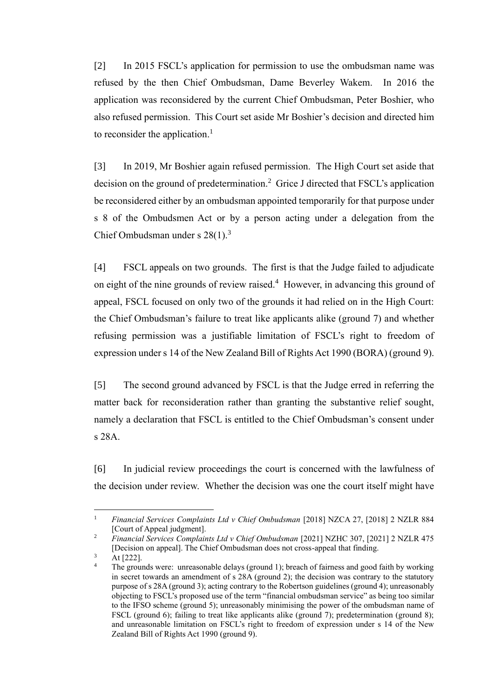[2] In 2015 FSCL's application for permission to use the ombudsman name was refused by the then Chief Ombudsman, Dame Beverley Wakem. In 2016 the application was reconsidered by the current Chief Ombudsman, Peter Boshier, who also refused permission. This Court set aside Mr Boshier's decision and directed him to reconsider the application.<sup>1</sup>

[3] In 2019, Mr Boshier again refused permission. The High Court set aside that decision on the ground of predetermination. <sup>2</sup> Grice J directed that FSCL's application be reconsidered either by an ombudsman appointed temporarily for that purpose under s 8 of the Ombudsmen Act or by a person acting under a delegation from the Chief Ombudsman under s  $28(1)$ .<sup>3</sup>

[4] FSCL appeals on two grounds. The first is that the Judge failed to adjudicate on eight of the nine grounds of review raised. <sup>4</sup> However, in advancing this ground of appeal, FSCL focused on only two of the grounds it had relied on in the High Court: the Chief Ombudsman's failure to treat like applicants alike (ground 7) and whether refusing permission was a justifiable limitation of FSCL's right to freedom of expression under s 14 of the New Zealand Bill of Rights Act 1990 (BORA) (ground 9).

[5] The second ground advanced by FSCL is that the Judge erred in referring the matter back for reconsideration rather than granting the substantive relief sought, namely a declaration that FSCL is entitled to the Chief Ombudsman's consent under s 28A.

[6] In judicial review proceedings the court is concerned with the lawfulness of the decision under review. Whether the decision was one the court itself might have

 $\frac{3}{4}$  At [222].

<sup>&</sup>lt;sup>1</sup> *Financial Services Complaints Ltd v Chief Ombudsman* [2018] NZCA 27, [2018] 2 NZLR 884 [Court of Appeal judgment].

<sup>2</sup> *Financial Services Complaints Ltd v Chief Ombudsman* [2021] NZHC 307, [2021] 2 NZLR 475 [Decision on appeal]. The Chief Ombudsman does not cross-appeal that finding.

<sup>4</sup> The grounds were: unreasonable delays (ground 1); breach of fairness and good faith by working in secret towards an amendment of s 28A (ground 2); the decision was contrary to the statutory purpose of s 28A (ground 3); acting contrary to the Robertson guidelines (ground 4); unreasonably objecting to FSCL's proposed use of the term "financial ombudsman service" as being too similar to the IFSO scheme (ground 5); unreasonably minimising the power of the ombudsman name of FSCL (ground 6); failing to treat like applicants alike (ground 7); predetermination (ground 8); and unreasonable limitation on FSCL's right to freedom of expression under s 14 of the New Zealand Bill of Rights Act 1990 (ground 9).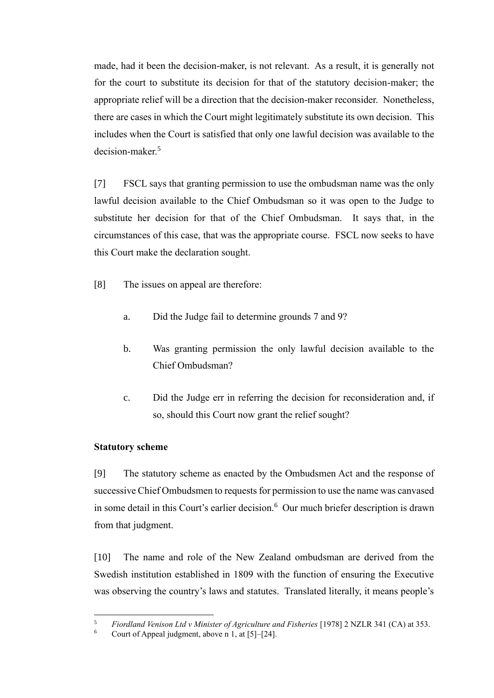made, had it been the decision-maker, is not relevant. As a result, it is generally not for the court to substitute its decision for that of the statutory decision-maker; the appropriate relief will be a direction that the decision-maker reconsider. Nonetheless, there are cases in which the Court might legitimately substitute its own decision. This includes when the Court is satisfied that only one lawful decision was available to the decision-maker.<sup>5</sup>

[7] FSCL says that granting permission to use the ombudsman name was the only lawful decision available to the Chief Ombudsman so it was open to the Judge to substitute her decision for that of the Chief Ombudsman. It says that, in the circumstances of this case, that was the appropriate course. FSCL now seeks to have this Court make the declaration sought.

- [8] The issues on appeal are therefore:
	- a. Did the Judge fail to determine grounds 7 and 9?
	- b. Was granting permission the only lawful decision available to the Chief Ombudsman?
	- c. Did the Judge err in referring the decision for reconsideration and, if so, should this Court now grant the relief sought?

## **Statutory scheme**

<span id="page-3-0"></span>[9] The statutory scheme as enacted by the Ombudsmen Act and the response of successive Chief Ombudsmen to requests for permission to use the name was canvased in some detail in this Court's earlier decision.<sup>6</sup> Our much briefer description is drawn from that judgment.

[10] The name and role of the New Zealand ombudsman are derived from the Swedish institution established in 1809 with the function of ensuring the Executive was observing the country's laws and statutes. Translated literally, it means people's

<sup>5</sup> *Fiordland Venison Ltd v Minister of Agriculture and Fisheries* [1978] 2 NZLR 341 (CA) at 353.

Court of Appeal judgment, above n 1, at  $[5]-[24]$ .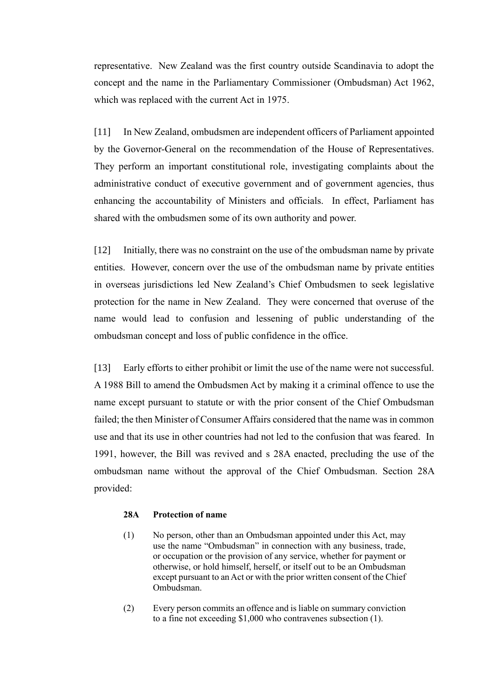representative. New Zealand was the first country outside Scandinavia to adopt the concept and the name in the Parliamentary Commissioner (Ombudsman) Act 1962, which was replaced with the current Act in 1975.

[11] In New Zealand, ombudsmen are independent officers of Parliament appointed by the Governor-General on the recommendation of the House of Representatives. They perform an important constitutional role, investigating complaints about the administrative conduct of executive government and of government agencies, thus enhancing the accountability of Ministers and officials. In effect, Parliament has shared with the ombudsmen some of its own authority and power.

[12] Initially, there was no constraint on the use of the ombudsman name by private entities. However, concern over the use of the ombudsman name by private entities in overseas jurisdictions led New Zealand's Chief Ombudsmen to seek legislative protection for the name in New Zealand. They were concerned that overuse of the name would lead to confusion and lessening of public understanding of the ombudsman concept and loss of public confidence in the office.

[13] Early efforts to either prohibit or limit the use of the name were not successful. A 1988 Bill to amend the Ombudsmen Act by making it a criminal offence to use the name except pursuant to statute or with the prior consent of the Chief Ombudsman failed; the then Minister of Consumer Affairs considered that the name was in common use and that its use in other countries had not led to the confusion that was feared. In 1991, however, the Bill was revived and s 28A enacted, precluding the use of the ombudsman name without the approval of the Chief Ombudsman. Section 28A provided:

## **28A Protection of name**

- (1) No person, other than an Ombudsman appointed under this Act, may use the name "Ombudsman" in connection with any business, trade, or occupation or the provision of any service, whether for payment or otherwise, or hold himself, herself, or itself out to be an Ombudsman except pursuant to an Act or with the prior written consent of the Chief Ombudsman.
- (2) Every person commits an offence and is liable on summary conviction to a fine not exceeding \$1,000 who contravenes subsection (1).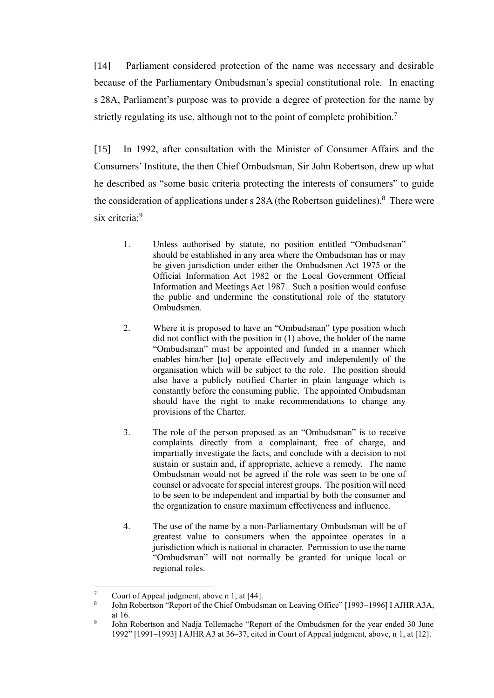[14] Parliament considered protection of the name was necessary and desirable because of the Parliamentary Ombudsman's special constitutional role. In enacting s 28A, Parliament's purpose was to provide a degree of protection for the name by strictly regulating its use, although not to the point of complete prohibition.<sup>7</sup>

[15] In 1992, after consultation with the Minister of Consumer Affairs and the Consumers' Institute, the then Chief Ombudsman, Sir John Robertson, drew up what he described as "some basic criteria protecting the interests of consumers" to guide the consideration of applications under s 28A (the Robertson guidelines). $8$  There were six criteria:<sup>9</sup>

- 1. Unless authorised by statute, no position entitled "Ombudsman" should be established in any area where the Ombudsman has or may be given jurisdiction under either the Ombudsmen Act 1975 or the Official Information Act 1982 or the Local Government Official Information and Meetings Act 1987. Such a position would confuse the public and undermine the constitutional role of the statutory Ombudsmen.
- 2. Where it is proposed to have an "Ombudsman" type position which did not conflict with the position in (1) above, the holder of the name "Ombudsman" must be appointed and funded in a manner which enables him/her [to] operate effectively and independently of the organisation which will be subject to the role. The position should also have a publicly notified Charter in plain language which is constantly before the consuming public. The appointed Ombudsman should have the right to make recommendations to change any provisions of the Charter.
- 3. The role of the person proposed as an "Ombudsman" is to receive complaints directly from a complainant, free of charge, and impartially investigate the facts, and conclude with a decision to not sustain or sustain and, if appropriate, achieve a remedy. The name Ombudsman would not be agreed if the role was seen to be one of counsel or advocate for special interest groups. The position will need to be seen to be independent and impartial by both the consumer and the organization to ensure maximum effectiveness and influence.
- 4. The use of the name by a non-Parliamentary Ombudsman will be of greatest value to consumers when the appointee operates in a jurisdiction which is national in character. Permission to use the name "Ombudsman" will not normally be granted for unique local or regional roles.

Court of Appeal judgment, above n 1, at [44].

<sup>8</sup> John Robertson "Report of the Chief Ombudsman on Leaving Office" [1993–1996] I AJHR A3A, at 16.

<sup>9</sup> John Robertson and Nadja Tollemache "Report of the Ombudsmen for the year ended 30 June 1992" [1991–1993] I AJHR A3 at 36–37, cited in Court of Appeal judgment, above, n 1, at [12].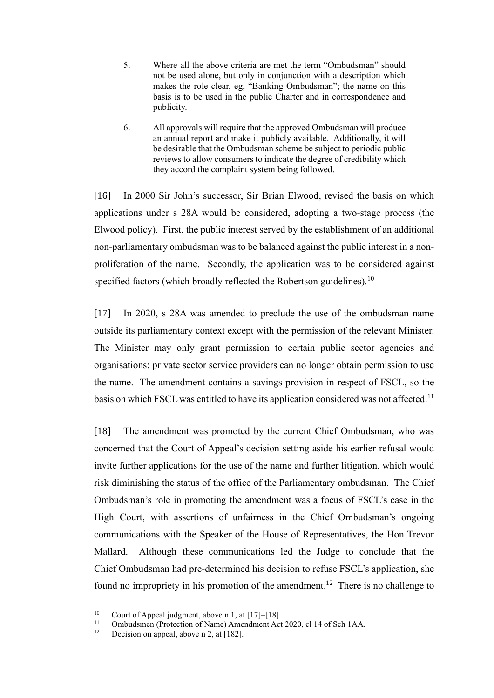- 5. Where all the above criteria are met the term "Ombudsman" should not be used alone, but only in conjunction with a description which makes the role clear, eg, "Banking Ombudsman"; the name on this basis is to be used in the public Charter and in correspondence and publicity.
- 6. All approvals will require that the approved Ombudsman will produce an annual report and make it publicly available. Additionally, it will be desirable that the Ombudsman scheme be subject to periodic public reviews to allow consumers to indicate the degree of credibility which they accord the complaint system being followed.

[16] In 2000 Sir John's successor, Sir Brian Elwood, revised the basis on which applications under s 28A would be considered, adopting a two-stage process (the Elwood policy). First, the public interest served by the establishment of an additional non-parliamentary ombudsman was to be balanced against the public interest in a nonproliferation of the name. Secondly, the application was to be considered against specified factors (which broadly reflected the Robertson guidelines).<sup>10</sup>

[17] In 2020, s 28A was amended to preclude the use of the ombudsman name outside its parliamentary context except with the permission of the relevant Minister. The Minister may only grant permission to certain public sector agencies and organisations; private sector service providers can no longer obtain permission to use the name. The amendment contains a savings provision in respect of FSCL, so the basis on which FSCL was entitled to have its application considered was not affected.<sup>11</sup>

[18] The amendment was promoted by the current Chief Ombudsman, who was concerned that the Court of Appeal's decision setting aside his earlier refusal would invite further applications for the use of the name and further litigation, which would risk diminishing the status of the office of the Parliamentary ombudsman. The Chief Ombudsman's role in promoting the amendment was a focus of FSCL's case in the High Court, with assertions of unfairness in the Chief Ombudsman's ongoing communications with the Speaker of the House of Representatives, the Hon Trevor Mallard. Although these communications led the Judge to conclude that the Chief Ombudsman had pre-determined his decision to refuse FSCL's application, she found no impropriety in his promotion of the amendment.<sup>12</sup> There is no challenge to

<sup>&</sup>lt;sup>10</sup> Court of Appeal judgment, above n 1, at  $[17]$ – $[18]$ .

<sup>&</sup>lt;sup>11</sup> Ombudsmen (Protection of Name) Amendment Act 2020, cl 14 of Sch 1AA.<br><sup>12</sup> Decision on anneal above n 2, at [182]

Decision on appeal, above n 2, at [182].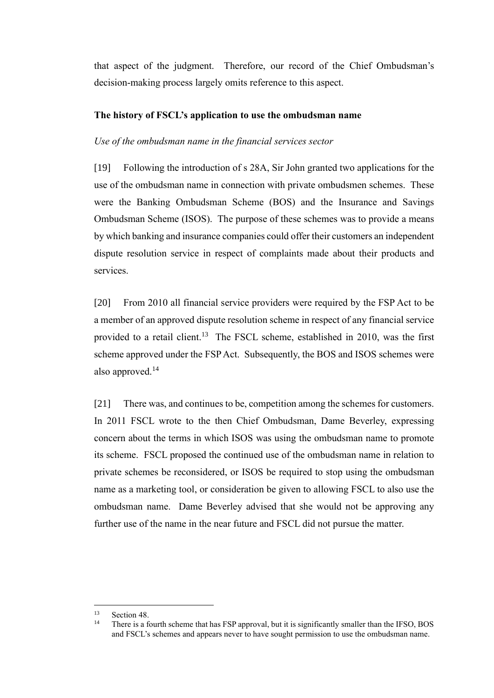that aspect of the judgment. Therefore, our record of the Chief Ombudsman's decision-making process largely omits reference to this aspect.

## **The history of FSCL's application to use the ombudsman name**

## *Use of the ombudsman name in the financial services sector*

<span id="page-7-0"></span>[19] Following the introduction of s 28A, Sir John granted two applications for the use of the ombudsman name in connection with private ombudsmen schemes. These were the Banking Ombudsman Scheme (BOS) and the Insurance and Savings Ombudsman Scheme (ISOS). The purpose of these schemes was to provide a means by which banking and insurance companies could offer their customers an independent dispute resolution service in respect of complaints made about their products and services.

[20] From 2010 all financial service providers were required by the FSP Act to be a member of an approved dispute resolution scheme in respect of any financial service provided to a retail client.<sup>13</sup> The FSCL scheme, established in 2010, was the first scheme approved under the FSP Act. Subsequently, the BOS and ISOS schemes were also approved.<sup>14</sup>

[21] There was, and continues to be, competition among the schemes for customers. In 2011 FSCL wrote to the then Chief Ombudsman, Dame Beverley, expressing concern about the terms in which ISOS was using the ombudsman name to promote its scheme. FSCL proposed the continued use of the ombudsman name in relation to private schemes be reconsidered, or ISOS be required to stop using the ombudsman name as a marketing tool, or consideration be given to allowing FSCL to also use the ombudsman name. Dame Beverley advised that she would not be approving any further use of the name in the near future and FSCL did not pursue the matter.

<sup>&</sup>lt;sup>13</sup> Section 48.

There is a fourth scheme that has FSP approval, but it is significantly smaller than the IFSO, BOS and FSCL's schemes and appears never to have sought permission to use the ombudsman name.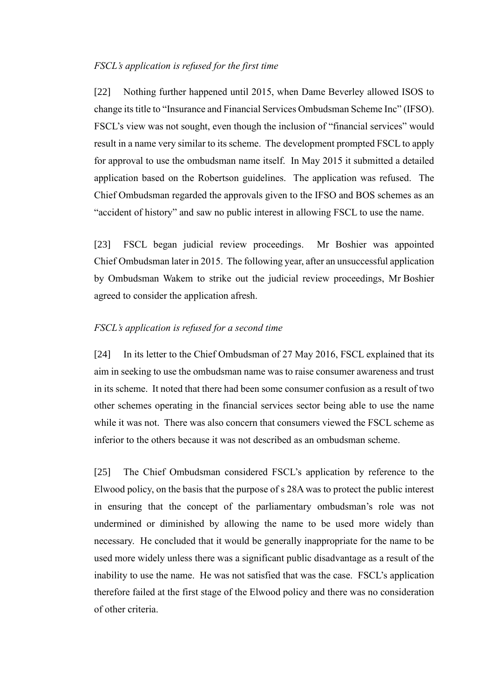## *FSCL's application is refused for the first time*

<span id="page-8-0"></span>[22] Nothing further happened until 2015, when Dame Beverley allowed ISOS to change its title to "Insurance and Financial Services Ombudsman Scheme Inc" (IFSO). FSCL's view was not sought, even though the inclusion of "financial services" would result in a name very similar to its scheme. The development prompted FSCL to apply for approval to use the ombudsman name itself. In May 2015 it submitted a detailed application based on the Robertson guidelines. The application was refused. The Chief Ombudsman regarded the approvals given to the IFSO and BOS schemes as an "accident of history" and saw no public interest in allowing FSCL to use the name.

[23] FSCL began judicial review proceedings. Mr Boshier was appointed Chief Ombudsman later in 2015. The following year, after an unsuccessful application by Ombudsman Wakem to strike out the judicial review proceedings, Mr Boshier agreed to consider the application afresh.

## *FSCL's application is refused for a second time*

<span id="page-8-1"></span>[24] In its letter to the Chief Ombudsman of 27 May 2016, FSCL explained that its aim in seeking to use the ombudsman name was to raise consumer awareness and trust in its scheme. It noted that there had been some consumer confusion as a result of two other schemes operating in the financial services sector being able to use the name while it was not. There was also concern that consumers viewed the FSCL scheme as inferior to the others because it was not described as an ombudsman scheme.

[25] The Chief Ombudsman considered FSCL's application by reference to the Elwood policy, on the basis that the purpose of s 28A was to protect the public interest in ensuring that the concept of the parliamentary ombudsman's role was not undermined or diminished by allowing the name to be used more widely than necessary. He concluded that it would be generally inappropriate for the name to be used more widely unless there was a significant public disadvantage as a result of the inability to use the name. He was not satisfied that was the case. FSCL's application therefore failed at the first stage of the Elwood policy and there was no consideration of other criteria.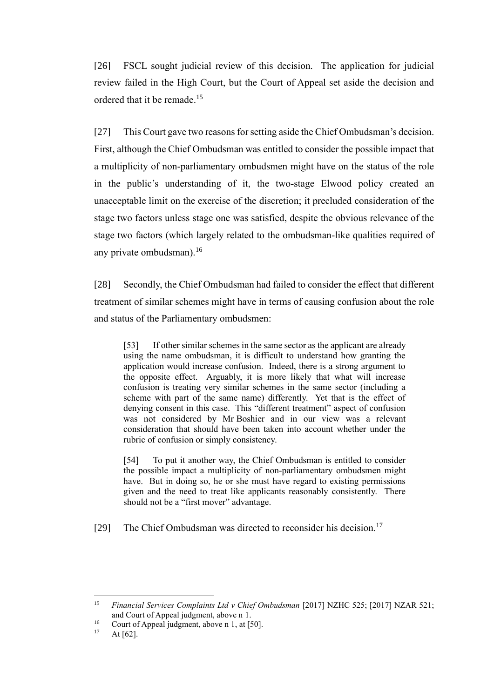[26] FSCL sought judicial review of this decision. The application for judicial review failed in the High Court, but the Court of Appeal set aside the decision and ordered that it be remade.<sup>15</sup>

[27] This Court gave two reasons for setting aside the Chief Ombudsman's decision. First, although the Chief Ombudsman was entitled to consider the possible impact that a multiplicity of non-parliamentary ombudsmen might have on the status of the role in the public's understanding of it, the two-stage Elwood policy created an unacceptable limit on the exercise of the discretion; it precluded consideration of the stage two factors unless stage one was satisfied, despite the obvious relevance of the stage two factors (which largely related to the ombudsman-like qualities required of any private ombudsman). 16

[28] Secondly, the Chief Ombudsman had failed to consider the effect that different treatment of similar schemes might have in terms of causing confusion about the role and status of the Parliamentary ombudsmen:

[53] If other similar schemes in the same sector as the applicant are already using the name ombudsman, it is difficult to understand how granting the application would increase confusion. Indeed, there is a strong argument to the opposite effect. Arguably, it is more likely that what will increase confusion is treating very similar schemes in the same sector (including a scheme with part of the same name) differently. Yet that is the effect of denying consent in this case. This "different treatment" aspect of confusion was not considered by Mr Boshier and in our view was a relevant consideration that should have been taken into account whether under the rubric of confusion or simply consistency.

[54] To put it another way, the Chief Ombudsman is entitled to consider the possible impact a multiplicity of non-parliamentary ombudsmen might have. But in doing so, he or she must have regard to existing permissions given and the need to treat like applicants reasonably consistently. There should not be a "first mover" advantage.

[29] The Chief Ombudsman was directed to reconsider his decision.<sup>17</sup>

<sup>15</sup> *Financial Services Complaints Ltd v Chief Ombudsman* [2017] NZHC 525; [2017] NZAR 521; and Court of Appeal judgment, above n 1.

<sup>&</sup>lt;sup>16</sup> Court of Appeal judgment, above n 1, at [50].

At  $[62]$ .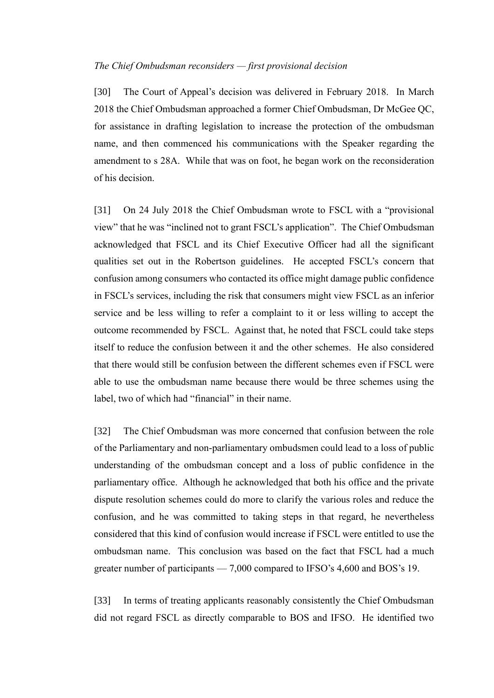#### *The Chief Ombudsman reconsiders — first provisional decision*

<span id="page-10-0"></span>[30] The Court of Appeal's decision was delivered in February 2018. In March 2018 the Chief Ombudsman approached a former Chief Ombudsman, Dr McGee QC, for assistance in drafting legislation to increase the protection of the ombudsman name, and then commenced his communications with the Speaker regarding the amendment to s 28A. While that was on foot, he began work on the reconsideration of his decision.

[31] On 24 July 2018 the Chief Ombudsman wrote to FSCL with a "provisional view" that he was "inclined not to grant FSCL's application". The Chief Ombudsman acknowledged that FSCL and its Chief Executive Officer had all the significant qualities set out in the Robertson guidelines. He accepted FSCL's concern that confusion among consumers who contacted its office might damage public confidence in FSCL's services, including the risk that consumers might view FSCL as an inferior service and be less willing to refer a complaint to it or less willing to accept the outcome recommended by FSCL. Against that, he noted that FSCL could take steps itself to reduce the confusion between it and the other schemes. He also considered that there would still be confusion between the different schemes even if FSCL were able to use the ombudsman name because there would be three schemes using the label, two of which had "financial" in their name.

[32] The Chief Ombudsman was more concerned that confusion between the role of the Parliamentary and non-parliamentary ombudsmen could lead to a loss of public understanding of the ombudsman concept and a loss of public confidence in the parliamentary office. Although he acknowledged that both his office and the private dispute resolution schemes could do more to clarify the various roles and reduce the confusion, and he was committed to taking steps in that regard, he nevertheless considered that this kind of confusion would increase if FSCL were entitled to use the ombudsman name. This conclusion was based on the fact that FSCL had a much greater number of participants — 7,000 compared to IFSO's 4,600 and BOS's 19.

[33] In terms of treating applicants reasonably consistently the Chief Ombudsman did not regard FSCL as directly comparable to BOS and IFSO. He identified two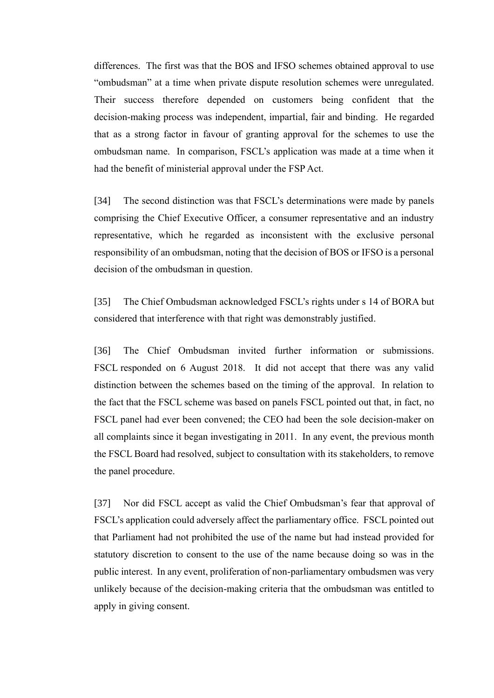differences. The first was that the BOS and IFSO schemes obtained approval to use "ombudsman" at a time when private dispute resolution schemes were unregulated. Their success therefore depended on customers being confident that the decision-making process was independent, impartial, fair and binding. He regarded that as a strong factor in favour of granting approval for the schemes to use the ombudsman name. In comparison, FSCL's application was made at a time when it had the benefit of ministerial approval under the FSP Act.

[34] The second distinction was that FSCL's determinations were made by panels comprising the Chief Executive Officer, a consumer representative and an industry representative, which he regarded as inconsistent with the exclusive personal responsibility of an ombudsman, noting that the decision of BOS or IFSO is a personal decision of the ombudsman in question.

[35] The Chief Ombudsman acknowledged FSCL's rights under s 14 of BORA but considered that interference with that right was demonstrably justified.

[36] The Chief Ombudsman invited further information or submissions. FSCL responded on 6 August 2018. It did not accept that there was any valid distinction between the schemes based on the timing of the approval. In relation to the fact that the FSCL scheme was based on panels FSCL pointed out that, in fact, no FSCL panel had ever been convened; the CEO had been the sole decision-maker on all complaints since it began investigating in 2011. In any event, the previous month the FSCL Board had resolved, subject to consultation with its stakeholders, to remove the panel procedure.

[37] Nor did FSCL accept as valid the Chief Ombudsman's fear that approval of FSCL's application could adversely affect the parliamentary office. FSCL pointed out that Parliament had not prohibited the use of the name but had instead provided for statutory discretion to consent to the use of the name because doing so was in the public interest. In any event, proliferation of non-parliamentary ombudsmen was very unlikely because of the decision-making criteria that the ombudsman was entitled to apply in giving consent.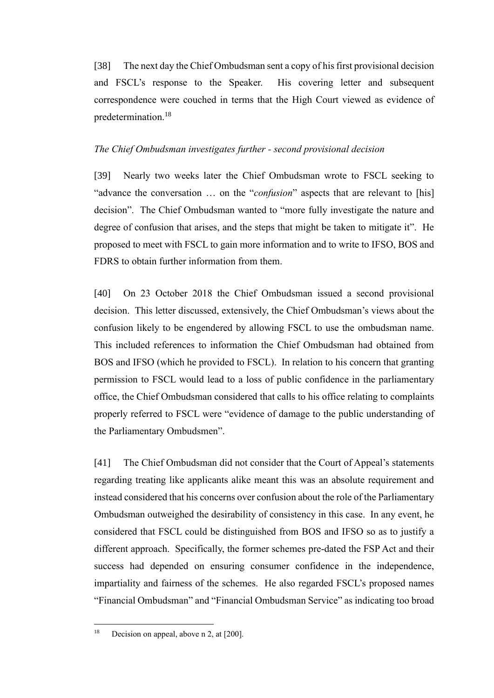[38] The next day the Chief Ombudsman sent a copy of his first provisional decision and FSCL's response to the Speaker. His covering letter and subsequent correspondence were couched in terms that the High Court viewed as evidence of predetermination.<sup>18</sup>

## *The Chief Ombudsman investigates further - second provisional decision*

<span id="page-12-0"></span>[39] Nearly two weeks later the Chief Ombudsman wrote to FSCL seeking to "advance the conversation … on the "*confusion*" aspects that are relevant to [his] decision". The Chief Ombudsman wanted to "more fully investigate the nature and degree of confusion that arises, and the steps that might be taken to mitigate it". He proposed to meet with FSCL to gain more information and to write to IFSO, BOS and FDRS to obtain further information from them.

[40] On 23 October 2018 the Chief Ombudsman issued a second provisional decision. This letter discussed, extensively, the Chief Ombudsman's views about the confusion likely to be engendered by allowing FSCL to use the ombudsman name. This included references to information the Chief Ombudsman had obtained from BOS and IFSO (which he provided to FSCL). In relation to his concern that granting permission to FSCL would lead to a loss of public confidence in the parliamentary office, the Chief Ombudsman considered that calls to his office relating to complaints properly referred to FSCL were "evidence of damage to the public understanding of the Parliamentary Ombudsmen".

[41] The Chief Ombudsman did not consider that the Court of Appeal's statements regarding treating like applicants alike meant this was an absolute requirement and instead considered that his concerns over confusion about the role of the Parliamentary Ombudsman outweighed the desirability of consistency in this case. In any event, he considered that FSCL could be distinguished from BOS and IFSO so as to justify a different approach. Specifically, the former schemes pre-dated the FSP Act and their success had depended on ensuring consumer confidence in the independence, impartiality and fairness of the schemes. He also regarded FSCL's proposed names "Financial Ombudsman" and "Financial Ombudsman Service" as indicating too broad

<sup>&</sup>lt;sup>18</sup> Decision on appeal, above n 2, at [200].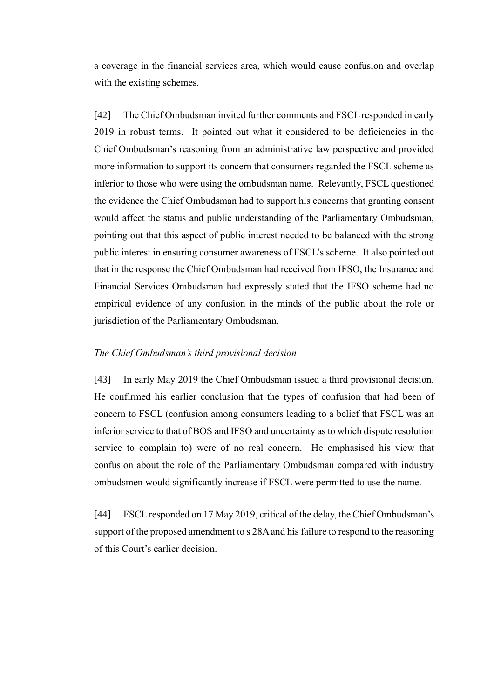a coverage in the financial services area, which would cause confusion and overlap with the existing schemes.

[42] The Chief Ombudsman invited further comments and FSCL responded in early 2019 in robust terms. It pointed out what it considered to be deficiencies in the Chief Ombudsman's reasoning from an administrative law perspective and provided more information to support its concern that consumers regarded the FSCL scheme as inferior to those who were using the ombudsman name. Relevantly, FSCL questioned the evidence the Chief Ombudsman had to support his concerns that granting consent would affect the status and public understanding of the Parliamentary Ombudsman, pointing out that this aspect of public interest needed to be balanced with the strong public interest in ensuring consumer awareness of FSCL's scheme. It also pointed out that in the response the Chief Ombudsman had received from IFSO, the Insurance and Financial Services Ombudsman had expressly stated that the IFSO scheme had no empirical evidence of any confusion in the minds of the public about the role or jurisdiction of the Parliamentary Ombudsman.

## *The Chief Ombudsman's third provisional decision*

<span id="page-13-0"></span>[43] In early May 2019 the Chief Ombudsman issued a third provisional decision. He confirmed his earlier conclusion that the types of confusion that had been of concern to FSCL (confusion among consumers leading to a belief that FSCL was an inferior service to that of BOS and IFSO and uncertainty as to which dispute resolution service to complain to) were of no real concern. He emphasised his view that confusion about the role of the Parliamentary Ombudsman compared with industry ombudsmen would significantly increase if FSCL were permitted to use the name.

[44] FSCL responded on 17 May 2019, critical of the delay, the Chief Ombudsman's support of the proposed amendment to s 28A and his failure to respond to the reasoning of this Court's earlier decision.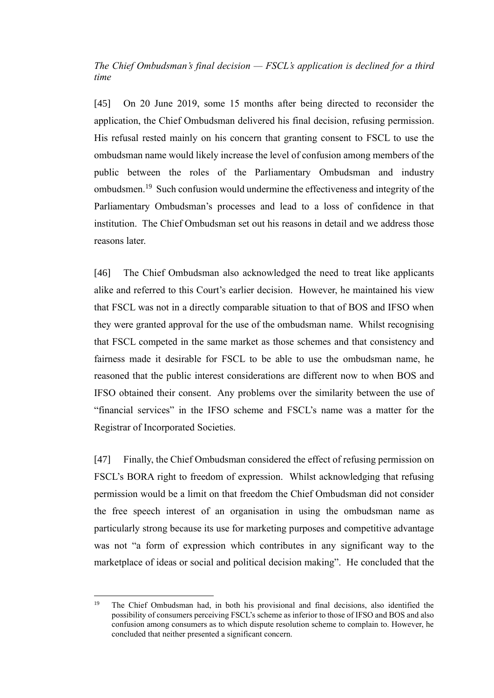*The Chief Ombudsman's final decision — FSCL's application is declined for a third time*

<span id="page-14-0"></span>[45] On 20 June 2019, some 15 months after being directed to reconsider the application, the Chief Ombudsman delivered his final decision, refusing permission. His refusal rested mainly on his concern that granting consent to FSCL to use the ombudsman name would likely increase the level of confusion among members of the public between the roles of the Parliamentary Ombudsman and industry ombudsmen.<sup>19</sup> Such confusion would undermine the effectiveness and integrity of the Parliamentary Ombudsman's processes and lead to a loss of confidence in that institution. The Chief Ombudsman set out his reasons in detail and we address those reasons later.

[46] The Chief Ombudsman also acknowledged the need to treat like applicants alike and referred to this Court's earlier decision. However, he maintained his view that FSCL was not in a directly comparable situation to that of BOS and IFSO when they were granted approval for the use of the ombudsman name. Whilst recognising that FSCL competed in the same market as those schemes and that consistency and fairness made it desirable for FSCL to be able to use the ombudsman name, he reasoned that the public interest considerations are different now to when BOS and IFSO obtained their consent. Any problems over the similarity between the use of "financial services" in the IFSO scheme and FSCL's name was a matter for the Registrar of Incorporated Societies.

[47] Finally, the Chief Ombudsman considered the effect of refusing permission on FSCL's BORA right to freedom of expression. Whilst acknowledging that refusing permission would be a limit on that freedom the Chief Ombudsman did not consider the free speech interest of an organisation in using the ombudsman name as particularly strong because its use for marketing purposes and competitive advantage was not "a form of expression which contributes in any significant way to the marketplace of ideas or social and political decision making". He concluded that the

<sup>&</sup>lt;sup>19</sup> The Chief Ombudsman had, in both his provisional and final decisions, also identified the possibility of consumers perceiving FSCL's scheme as inferior to those of IFSO and BOS and also confusion among consumers as to which dispute resolution scheme to complain to. However, he concluded that neither presented a significant concern.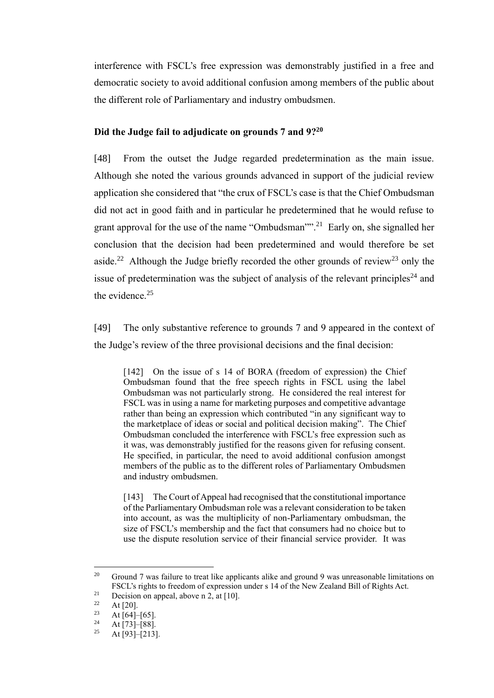interference with FSCL's free expression was demonstrably justified in a free and democratic society to avoid additional confusion among members of the public about the different role of Parliamentary and industry ombudsmen.

## **Did the Judge fail to adjudicate on grounds 7 and 9?<sup>20</sup>**

<span id="page-15-0"></span>[48] From the outset the Judge regarded predetermination as the main issue. Although she noted the various grounds advanced in support of the judicial review application she considered that "the crux of FSCL's case is that the Chief Ombudsman did not act in good faith and in particular he predetermined that he would refuse to grant approval for the use of the name "Ombudsman""<sup>21</sup> Early on, she signalled her conclusion that the decision had been predetermined and would therefore be set aside.<sup>22</sup> Although the Judge briefly recorded the other grounds of review<sup>23</sup> only the issue of predetermination was the subject of analysis of the relevant principles<sup>24</sup> and the evidence.<sup>25</sup>

[49] The only substantive reference to grounds 7 and 9 appeared in the context of the Judge's review of the three provisional decisions and the final decision:

[142] On the issue of s 14 of BORA (freedom of expression) the Chief Ombudsman found that the free speech rights in FSCL using the label Ombudsman was not particularly strong. He considered the real interest for FSCL was in using a name for marketing purposes and competitive advantage rather than being an expression which contributed "in any significant way to the marketplace of ideas or social and political decision making". The Chief Ombudsman concluded the interference with FSCL's free expression such as it was, was demonstrably justified for the reasons given for refusing consent. He specified, in particular, the need to avoid additional confusion amongst members of the public as to the different roles of Parliamentary Ombudsmen and industry ombudsmen.

[143] The Court of Appeal had recognised that the constitutional importance of the Parliamentary Ombudsman role was a relevant consideration to be taken into account, as was the multiplicity of non-Parliamentary ombudsman, the size of FSCL's membership and the fact that consumers had no choice but to use the dispute resolution service of their financial service provider. It was

<sup>&</sup>lt;sup>20</sup> Ground 7 was failure to treat like applicants alike and ground 9 was unreasonable limitations on FSCL's rights to freedom of expression under s 14 of the New Zealand Bill of Rights Act.

<sup>&</sup>lt;sup>21</sup> Decision on appeal, above n 2, at [10].

 $\frac{22}{23}$  At [20].

<sup>&</sup>lt;sup>23</sup> At [64]–[65].

 $24$  At [73]-[88].

At [93]–[213].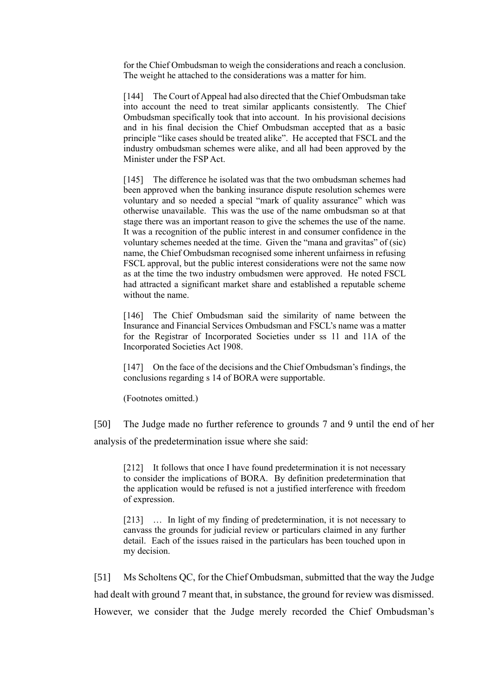for the Chief Ombudsman to weigh the considerations and reach a conclusion. The weight he attached to the considerations was a matter for him.

[144] The Court of Appeal had also directed that the Chief Ombudsman take into account the need to treat similar applicants consistently. The Chief Ombudsman specifically took that into account. In his provisional decisions and in his final decision the Chief Ombudsman accepted that as a basic principle "like cases should be treated alike". He accepted that FSCL and the industry ombudsman schemes were alike, and all had been approved by the Minister under the FSP Act.

[145] The difference he isolated was that the two ombudsman schemes had been approved when the banking insurance dispute resolution schemes were voluntary and so needed a special "mark of quality assurance" which was otherwise unavailable. This was the use of the name ombudsman so at that stage there was an important reason to give the schemes the use of the name. It was a recognition of the public interest in and consumer confidence in the voluntary schemes needed at the time. Given the "mana and gravitas" of (sic) name, the Chief Ombudsman recognised some inherent unfairness in refusing FSCL approval, but the public interest considerations were not the same now as at the time the two industry ombudsmen were approved. He noted FSCL had attracted a significant market share and established a reputable scheme without the name.

[146] The Chief Ombudsman said the similarity of name between the Insurance and Financial Services Ombudsman and FSCL's name was a matter for the Registrar of Incorporated Societies under ss 11 and 11A of the Incorporated Societies Act 1908.

[147] On the face of the decisions and the Chief Ombudsman's findings, the conclusions regarding s 14 of BORA were supportable.

(Footnotes omitted.)

[50] The Judge made no further reference to grounds 7 and 9 until the end of her analysis of the predetermination issue where she said:

[212] It follows that once I have found predetermination it is not necessary to consider the implications of BORA. By definition predetermination that the application would be refused is not a justified interference with freedom of expression.

[213] … In light of my finding of predetermination, it is not necessary to canvass the grounds for judicial review or particulars claimed in any further detail. Each of the issues raised in the particulars has been touched upon in my decision.

[51] Ms Scholtens QC, for the Chief Ombudsman, submitted that the way the Judge had dealt with ground 7 meant that, in substance, the ground for review was dismissed. However, we consider that the Judge merely recorded the Chief Ombudsman's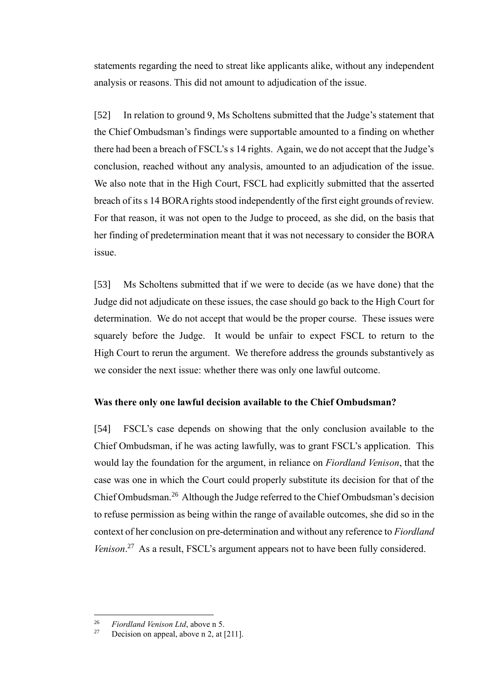statements regarding the need to streat like applicants alike, without any independent analysis or reasons. This did not amount to adjudication of the issue.

[52] In relation to ground 9, Ms Scholtens submitted that the Judge's statement that the Chief Ombudsman's findings were supportable amounted to a finding on whether there had been a breach of FSCL's s 14 rights. Again, we do not accept that the Judge's conclusion, reached without any analysis, amounted to an adjudication of the issue. We also note that in the High Court, FSCL had explicitly submitted that the asserted breach of its s 14 BORA rights stood independently of the first eight grounds of review. For that reason, it was not open to the Judge to proceed, as she did, on the basis that her finding of predetermination meant that it was not necessary to consider the BORA issue.

[53] Ms Scholtens submitted that if we were to decide (as we have done) that the Judge did not adjudicate on these issues, the case should go back to the High Court for determination. We do not accept that would be the proper course. These issues were squarely before the Judge. It would be unfair to expect FSCL to return to the High Court to rerun the argument. We therefore address the grounds substantively as we consider the next issue: whether there was only one lawful outcome.

## **Was there only one lawful decision available to the Chief Ombudsman?**

<span id="page-17-0"></span>[54] FSCL's case depends on showing that the only conclusion available to the Chief Ombudsman, if he was acting lawfully, was to grant FSCL's application. This would lay the foundation for the argument, in reliance on *Fiordland Venison*, that the case was one in which the Court could properly substitute its decision for that of the Chief Ombudsman.<sup>26</sup> Although the Judge referred to the Chief Ombudsman's decision to refuse permission as being within the range of available outcomes, she did so in the context of her conclusion on pre-determination and without any reference to *Fiordland*  Venison.<sup>27</sup> As a result, FSCL's argument appears not to have been fully considered.

<sup>&</sup>lt;sup>26</sup> *Fiordland Venison Ltd*, above n 5.<br><sup>27</sup> Designe on anneal above n 2 at 1

Decision on appeal, above n 2, at [211].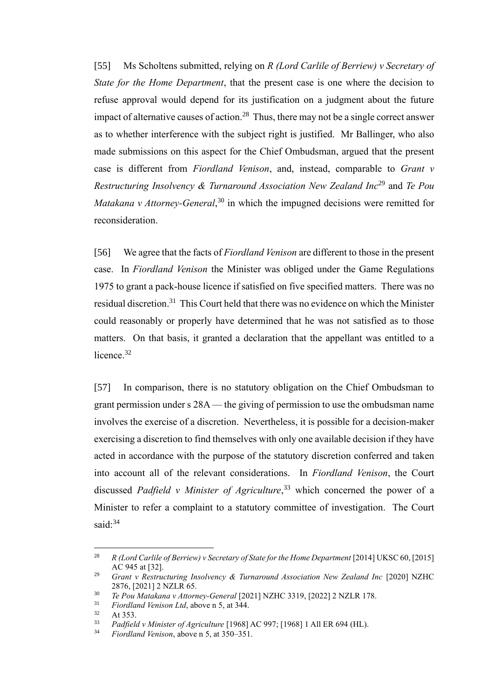[55] Ms Scholtens submitted, relying on *R (Lord Carlile of Berriew) v Secretary of State for the Home Department*, that the present case is one where the decision to refuse approval would depend for its justification on a judgment about the future impact of alternative causes of action.<sup>28</sup> Thus, there may not be a single correct answer as to whether interference with the subject right is justified. Mr Ballinger, who also made submissions on this aspect for the Chief Ombudsman, argued that the present case is different from *Fiordland Venison*, and, instead, comparable to *Grant v Restructuring Insolvency & Turnaround Association New Zealand Inc*<sup>29</sup> and *Te Pou Matakana v Attorney-General*, <sup>30</sup> in which the impugned decisions were remitted for reconsideration.

[56] We agree that the facts of *Fiordland Venison* are different to those in the present case. In *Fiordland Venison* the Minister was obliged under the Game Regulations 1975 to grant a pack-house licence if satisfied on five specified matters. There was no residual discretion. <sup>31</sup> This Court held that there was no evidence on which the Minister could reasonably or properly have determined that he was not satisfied as to those matters. On that basis, it granted a declaration that the appellant was entitled to a licence.<sup>32</sup>

[57] In comparison, there is no statutory obligation on the Chief Ombudsman to grant permission under s 28A— the giving of permission to use the ombudsman name involves the exercise of a discretion. Nevertheless, it is possible for a decision-maker exercising a discretion to find themselves with only one available decision if they have acted in accordance with the purpose of the statutory discretion conferred and taken into account all of the relevant considerations. In *Fiordland Venison*, the Court discussed *Padfield v Minister of Agriculture*, <sup>33</sup> which concerned the power of a Minister to refer a complaint to a statutory committee of investigation. The Court said:<sup>34</sup>

<sup>&</sup>lt;sup>28</sup> *R (Lord Carlile of Berriew) v Secretary of State for the Home Department* [2014] UKSC 60, [2015] AC 945 at [32].

<sup>29</sup> *Grant v Restructuring Insolvency & Turnaround Association New Zealand Inc* [2020] NZHC 2876, [2021] 2 NZLR 65.

<sup>30</sup> *Te Pou Matakana v Attorney-General* [2021] NZHC 3319, [2022] 2 NZLR 178.

<sup>31</sup> *Fiordland Venison Ltd*, above n 5, at 344.

 $32$  At 353.<br> $33$  *Padfield* 

<sup>33</sup> *Padfield v Minister of Agriculture* [1968] AC 997; [1968] 1 All ER 694 (HL).

<sup>34</sup> *Fiordland Venison*, above n 5, at 350–351.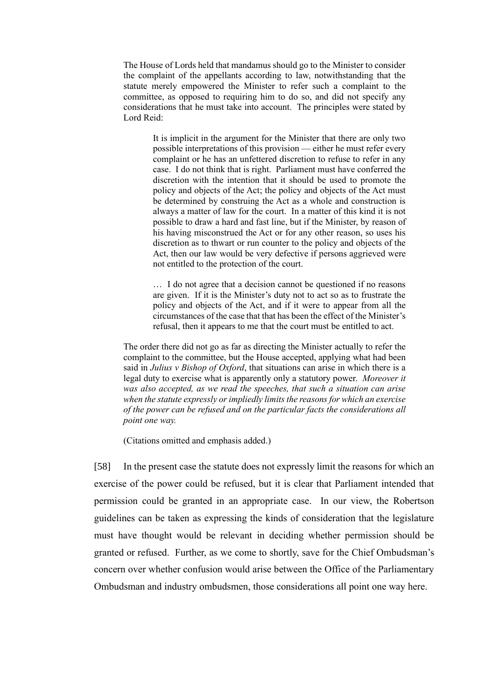The House of Lords held that mandamus should go to the Minister to consider the complaint of the appellants according to law, notwithstanding that the statute merely empowered the Minister to refer such a complaint to the committee, as opposed to requiring him to do so, and did not specify any considerations that he must take into account. The principles were stated by Lord Reid:

> It is implicit in the argument for the Minister that there are only two possible interpretations of this provision — either he must refer every complaint or he has an unfettered discretion to refuse to refer in any case. I do not think that is right. Parliament must have conferred the discretion with the intention that it should be used to promote the policy and objects of the Act; the policy and objects of the Act must be determined by construing the Act as a whole and construction is always a matter of law for the court. In a matter of this kind it is not possible to draw a hard and fast line, but if the Minister, by reason of his having misconstrued the Act or for any other reason, so uses his discretion as to thwart or run counter to the policy and objects of the Act, then our law would be very defective if persons aggrieved were not entitled to the protection of the court.

> … I do not agree that a decision cannot be questioned if no reasons are given. If it is the Minister's duty not to act so as to frustrate the policy and objects of the Act, and if it were to appear from all the circumstances of the case that that has been the effect of the Minister's refusal, then it appears to me that the court must be entitled to act.

The order there did not go as far as directing the Minister actually to refer the complaint to the committee, but the House accepted, applying what had been said in *Julius v Bishop of Oxford*, that situations can arise in which there is a legal duty to exercise what is apparently only a statutory power. *Moreover it was also accepted, as we read the speeches, that such a situation can arise when the statute expressly or impliedly limits the reasons for which an exercise of the power can be refused and on the particular facts the considerations all point one way.*

(Citations omitted and emphasis added.)

[58] In the present case the statute does not expressly limit the reasons for which an exercise of the power could be refused, but it is clear that Parliament intended that permission could be granted in an appropriate case. In our view, the Robertson guidelines can be taken as expressing the kinds of consideration that the legislature must have thought would be relevant in deciding whether permission should be granted or refused. Further, as we come to shortly, save for the Chief Ombudsman's concern over whether confusion would arise between the Office of the Parliamentary Ombudsman and industry ombudsmen, those considerations all point one way here.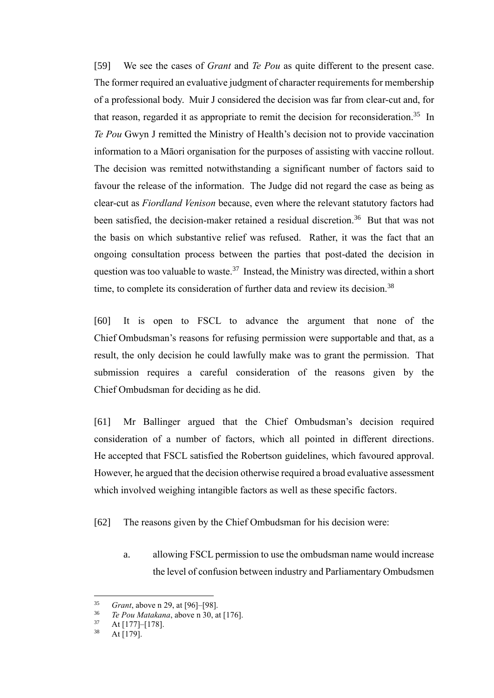[59] We see the cases of *Grant* and *Te Pou* as quite different to the present case. The former required an evaluative judgment of character requirements for membership of a professional body. Muir J considered the decision was far from clear-cut and, for that reason, regarded it as appropriate to remit the decision for reconsideration.<sup>35</sup> In *Te Pou* Gwyn J remitted the Ministry of Health's decision not to provide vaccination information to a Māori organisation for the purposes of assisting with vaccine rollout. The decision was remitted notwithstanding a significant number of factors said to favour the release of the information. The Judge did not regard the case as being as clear-cut as *Fiordland Venison* because, even where the relevant statutory factors had been satisfied, the decision-maker retained a residual discretion.<sup>36</sup> But that was not the basis on which substantive relief was refused. Rather, it was the fact that an ongoing consultation process between the parties that post-dated the decision in question was too valuable to waste.<sup>37</sup> Instead, the Ministry was directed, within a short time, to complete its consideration of further data and review its decision.<sup>38</sup>

[60] It is open to FSCL to advance the argument that none of the Chief Ombudsman's reasons for refusing permission were supportable and that, as a result, the only decision he could lawfully make was to grant the permission. That submission requires a careful consideration of the reasons given by the Chief Ombudsman for deciding as he did.

[61] Mr Ballinger argued that the Chief Ombudsman's decision required consideration of a number of factors, which all pointed in different directions. He accepted that FSCL satisfied the Robertson guidelines, which favoured approval. However, he argued that the decision otherwise required a broad evaluative assessment which involved weighing intangible factors as well as these specific factors.

[62] The reasons given by the Chief Ombudsman for his decision were:

a. allowing FSCL permission to use the ombudsman name would increase the level of confusion between industry and Parliamentary Ombudsmen

<sup>35</sup> *Grant*, above n 29, at [96]–[98].

<sup>&</sup>lt;sup>36</sup> *Te Pou Matakana*, above n 30, at [176].

 $rac{37}{38}$  At [177]–[178].

At [179].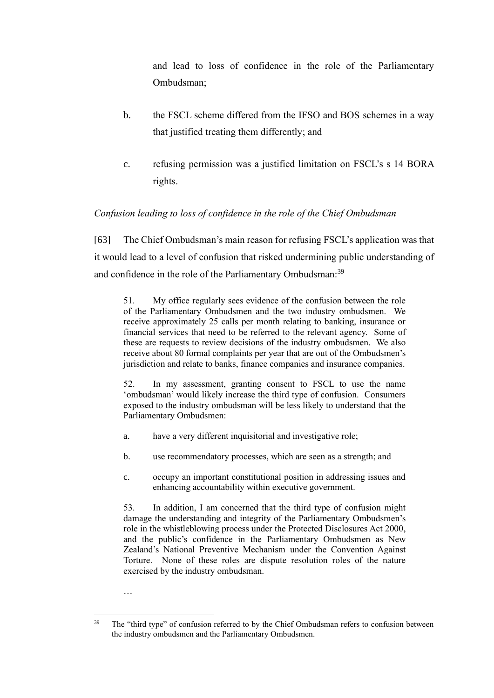and lead to loss of confidence in the role of the Parliamentary Ombudsman;

- b. the FSCL scheme differed from the IFSO and BOS schemes in a way that justified treating them differently; and
- c. refusing permission was a justified limitation on FSCL's s 14 BORA rights.

## *Confusion leading to loss of confidence in the role of the Chief Ombudsman*

<span id="page-21-0"></span>[63] The Chief Ombudsman's main reason for refusing FSCL's application was that it would lead to a level of confusion that risked undermining public understanding of and confidence in the role of the Parliamentary Ombudsman:<sup>39</sup>

51. My office regularly sees evidence of the confusion between the role of the Parliamentary Ombudsmen and the two industry ombudsmen. We receive approximately 25 calls per month relating to banking, insurance or financial services that need to be referred to the relevant agency. Some of these are requests to review decisions of the industry ombudsmen. We also receive about 80 formal complaints per year that are out of the Ombudsmen's jurisdiction and relate to banks, finance companies and insurance companies.

52. In my assessment, granting consent to FSCL to use the name 'ombudsman' would likely increase the third type of confusion. Consumers exposed to the industry ombudsman will be less likely to understand that the Parliamentary Ombudsmen:

- a. have a very different inquisitorial and investigative role;
- b. use recommendatory processes, which are seen as a strength; and
- c. occupy an important constitutional position in addressing issues and enhancing accountability within executive government.

53. In addition, I am concerned that the third type of confusion might damage the understanding and integrity of the Parliamentary Ombudsmen's role in the whistleblowing process under the Protected Disclosures Act 2000, and the public's confidence in the Parliamentary Ombudsmen as New Zealand's National Preventive Mechanism under the Convention Against Torture. None of these roles are dispute resolution roles of the nature exercised by the industry ombudsman.

…

<sup>&</sup>lt;sup>39</sup> The "third type" of confusion referred to by the Chief Ombudsman refers to confusion between the industry ombudsmen and the Parliamentary Ombudsmen.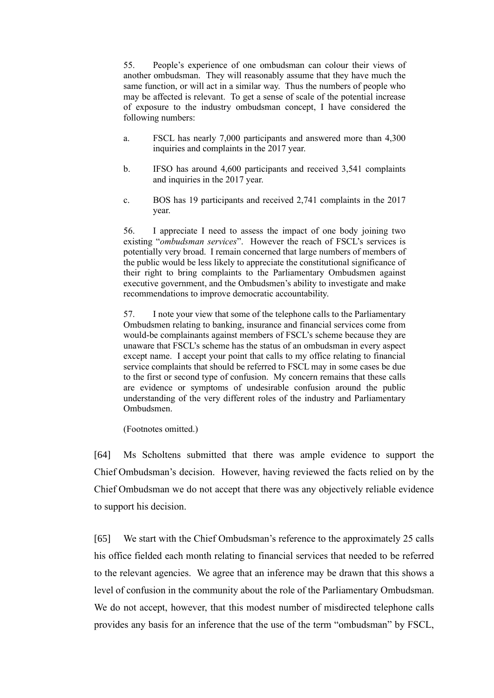55. People's experience of one ombudsman can colour their views of another ombudsman. They will reasonably assume that they have much the same function, or will act in a similar way. Thus the numbers of people who may be affected is relevant. To get a sense of scale of the potential increase of exposure to the industry ombudsman concept, I have considered the following numbers:

- a. FSCL has nearly 7,000 participants and answered more than 4,300 inquiries and complaints in the 2017 year.
- b. IFSO has around 4,600 participants and received 3,541 complaints and inquiries in the 2017 year.
- c. BOS has 19 participants and received 2,741 complaints in the 2017 year.

56. I appreciate I need to assess the impact of one body joining two existing "*ombudsman services*". However the reach of FSCL's services is potentially very broad. I remain concerned that large numbers of members of the public would be less likely to appreciate the constitutional significance of their right to bring complaints to the Parliamentary Ombudsmen against executive government, and the Ombudsmen's ability to investigate and make recommendations to improve democratic accountability.

57. I note your view that some of the telephone calls to the Parliamentary Ombudsmen relating to banking, insurance and financial services come from would-be complainants against members of FSCL's scheme because they are unaware that FSCL's scheme has the status of an ombudsman in every aspect except name. I accept your point that calls to my office relating to financial service complaints that should be referred to FSCL may in some cases be due to the first or second type of confusion. My concern remains that these calls are evidence or symptoms of undesirable confusion around the public understanding of the very different roles of the industry and Parliamentary Ombudsmen.

(Footnotes omitted.)

[64] Ms Scholtens submitted that there was ample evidence to support the Chief Ombudsman's decision. However, having reviewed the facts relied on by the Chief Ombudsman we do not accept that there was any objectively reliable evidence to support his decision.

[65] We start with the Chief Ombudsman's reference to the approximately 25 calls his office fielded each month relating to financial services that needed to be referred to the relevant agencies. We agree that an inference may be drawn that this shows a level of confusion in the community about the role of the Parliamentary Ombudsman. We do not accept, however, that this modest number of misdirected telephone calls provides any basis for an inference that the use of the term "ombudsman" by FSCL,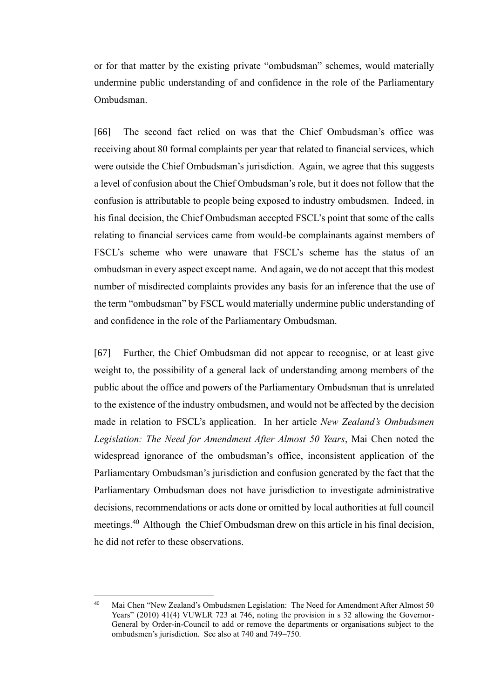or for that matter by the existing private "ombudsman" schemes, would materially undermine public understanding of and confidence in the role of the Parliamentary Ombudsman.

[66] The second fact relied on was that the Chief Ombudsman's office was receiving about 80 formal complaints per year that related to financial services, which were outside the Chief Ombudsman's jurisdiction. Again, we agree that this suggests a level of confusion about the Chief Ombudsman's role, but it does not follow that the confusion is attributable to people being exposed to industry ombudsmen. Indeed, in his final decision, the Chief Ombudsman accepted FSCL's point that some of the calls relating to financial services came from would-be complainants against members of FSCL's scheme who were unaware that FSCL's scheme has the status of an ombudsman in every aspect except name. And again, we do not accept that this modest number of misdirected complaints provides any basis for an inference that the use of the term "ombudsman" by FSCL would materially undermine public understanding of and confidence in the role of the Parliamentary Ombudsman.

[67] Further, the Chief Ombudsman did not appear to recognise, or at least give weight to, the possibility of a general lack of understanding among members of the public about the office and powers of the Parliamentary Ombudsman that is unrelated to the existence of the industry ombudsmen, and would not be affected by the decision made in relation to FSCL's application. In her article *New Zealand's Ombudsmen Legislation: The Need for Amendment After Almost 50 Years*, Mai Chen noted the widespread ignorance of the ombudsman's office, inconsistent application of the Parliamentary Ombudsman's jurisdiction and confusion generated by the fact that the Parliamentary Ombudsman does not have jurisdiction to investigate administrative decisions, recommendations or acts done or omitted by local authorities at full council meetings.<sup>40</sup> Although the Chief Ombudsman drew on this article in his final decision, he did not refer to these observations.

<sup>40</sup> Mai Chen "New Zealand's Ombudsmen Legislation: The Need for Amendment After Almost 50 Years" (2010) 41(4) VUWLR 723 at 746, noting the provision in s 32 allowing the Governor-General by Order-in-Council to add or remove the departments or organisations subject to the ombudsmen's jurisdiction. See also at 740 and 749–750.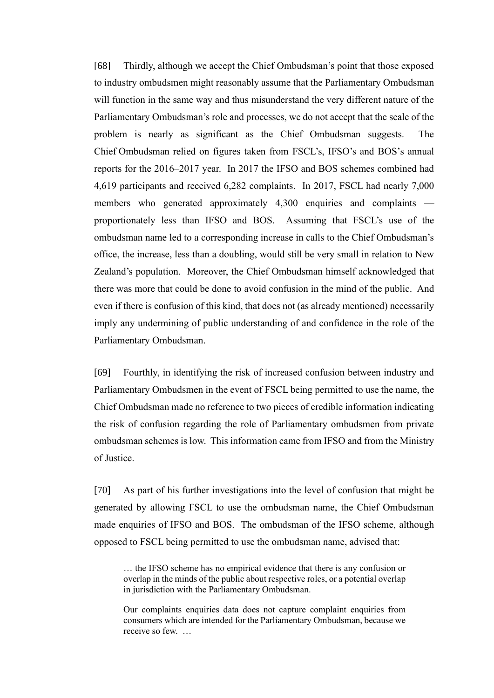[68] Thirdly, although we accept the Chief Ombudsman's point that those exposed to industry ombudsmen might reasonably assume that the Parliamentary Ombudsman will function in the same way and thus misunderstand the very different nature of the Parliamentary Ombudsman's role and processes, we do not accept that the scale of the problem is nearly as significant as the Chief Ombudsman suggests. The Chief Ombudsman relied on figures taken from FSCL's, IFSO's and BOS's annual reports for the 2016–2017 year. In 2017 the IFSO and BOS schemes combined had 4,619 participants and received 6,282 complaints. In 2017, FSCL had nearly 7,000 members who generated approximately 4,300 enquiries and complaints proportionately less than IFSO and BOS. Assuming that FSCL's use of the ombudsman name led to a corresponding increase in calls to the Chief Ombudsman's office, the increase, less than a doubling, would still be very small in relation to New Zealand's population. Moreover, the Chief Ombudsman himself acknowledged that there was more that could be done to avoid confusion in the mind of the public. And even if there is confusion of this kind, that does not (as already mentioned) necessarily imply any undermining of public understanding of and confidence in the role of the Parliamentary Ombudsman.

[69] Fourthly, in identifying the risk of increased confusion between industry and Parliamentary Ombudsmen in the event of FSCL being permitted to use the name, the Chief Ombudsman made no reference to two pieces of credible information indicating the risk of confusion regarding the role of Parliamentary ombudsmen from private ombudsman schemes is low. This information came from IFSO and from the Ministry of Justice.

[70] As part of his further investigations into the level of confusion that might be generated by allowing FSCL to use the ombudsman name, the Chief Ombudsman made enquiries of IFSO and BOS. The ombudsman of the IFSO scheme, although opposed to FSCL being permitted to use the ombudsman name, advised that:

<sup>…</sup> the IFSO scheme has no empirical evidence that there is any confusion or overlap in the minds of the public about respective roles, or a potential overlap in jurisdiction with the Parliamentary Ombudsman.

Our complaints enquiries data does not capture complaint enquiries from consumers which are intended for the Parliamentary Ombudsman, because we receive so few. …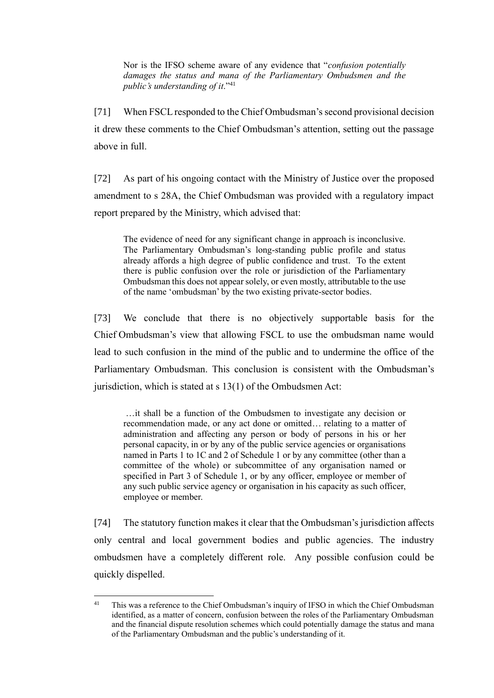Nor is the IFSO scheme aware of any evidence that "*confusion potentially damages the status and mana of the Parliamentary Ombudsmen and the public's understanding of it*." 41

[71] When FSCL responded to the Chief Ombudsman's second provisional decision it drew these comments to the Chief Ombudsman's attention, setting out the passage above in full.

[72] As part of his ongoing contact with the Ministry of Justice over the proposed amendment to s 28A, the Chief Ombudsman was provided with a regulatory impact report prepared by the Ministry, which advised that:

The evidence of need for any significant change in approach is inconclusive. The Parliamentary Ombudsman's long-standing public profile and status already affords a high degree of public confidence and trust. To the extent there is public confusion over the role or jurisdiction of the Parliamentary Ombudsman this does not appear solely, or even mostly, attributable to the use of the name 'ombudsman' by the two existing private-sector bodies.

[73] We conclude that there is no objectively supportable basis for the Chief Ombudsman's view that allowing FSCL to use the ombudsman name would lead to such confusion in the mind of the public and to undermine the office of the Parliamentary Ombudsman. This conclusion is consistent with the Ombudsman's jurisdiction, which is stated at s 13(1) of the Ombudsmen Act:

…it shall be a function of the Ombudsmen to investigate any decision or recommendation made, or any act done or omitted… relating to a matter of administration and affecting any person or body of persons in his or her personal capacity, in or by any of the public service agencies or organisations named in Parts 1 to 1C and 2 of Schedule 1 or by any committee (other than a committee of the whole) or subcommittee of any organisation named or specified in Part 3 of Schedule 1, or by any officer, employee or member of any such public service agency or organisation in his capacity as such officer, employee or member.

[74] The statutory function makes it clear that the Ombudsman's jurisdiction affects only central and local government bodies and public agencies. The industry ombudsmen have a completely different role. Any possible confusion could be quickly dispelled.

<sup>&</sup>lt;sup>41</sup> This was a reference to the Chief Ombudsman's inquiry of IFSO in which the Chief Ombudsman identified, as a matter of concern, confusion between the roles of the Parliamentary Ombudsman and the financial dispute resolution schemes which could potentially damage the status and mana of the Parliamentary Ombudsman and the public's understanding of it.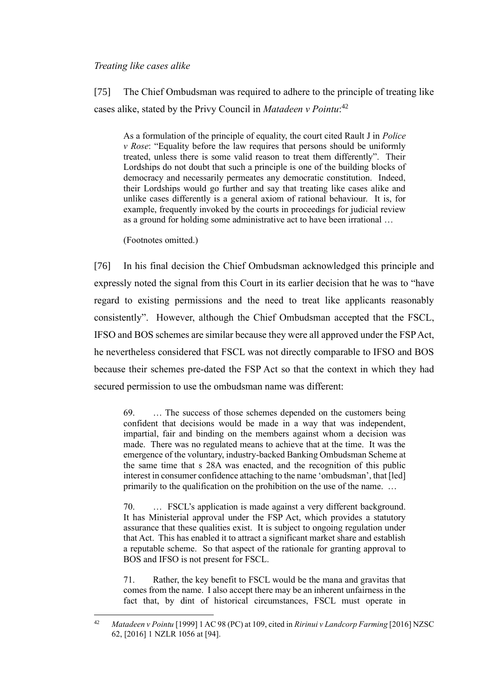## *Treating like cases alike*

<span id="page-26-0"></span>[75] The Chief Ombudsman was required to adhere to the principle of treating like cases alike, stated by the Privy Council in *Matadeen v Pointu*: 42

As a formulation of the principle of equality, the court cited Rault J in *Police v Rose*: "Equality before the law requires that persons should be uniformly treated, unless there is some valid reason to treat them differently". Their Lordships do not doubt that such a principle is one of the building blocks of democracy and necessarily permeates any democratic constitution. Indeed, their Lordships would go further and say that treating like cases alike and unlike cases differently is a general axiom of rational behaviour. It is, for example, frequently invoked by the courts in proceedings for judicial review as a ground for holding some administrative act to have been irrational …

(Footnotes omitted.)

[76] In his final decision the Chief Ombudsman acknowledged this principle and expressly noted the signal from this Court in its earlier decision that he was to "have regard to existing permissions and the need to treat like applicants reasonably consistently". However, although the Chief Ombudsman accepted that the FSCL, IFSO and BOS schemes are similar because they were all approved under the FSP Act, he nevertheless considered that FSCL was not directly comparable to IFSO and BOS because their schemes pre-dated the FSP Act so that the context in which they had secured permission to use the ombudsman name was different:

69. … The success of those schemes depended on the customers being confident that decisions would be made in a way that was independent, impartial, fair and binding on the members against whom a decision was made. There was no regulated means to achieve that at the time. It was the emergence of the voluntary, industry-backed Banking Ombudsman Scheme at the same time that s 28A was enacted, and the recognition of this public interest in consumer confidence attaching to the name 'ombudsman', that [led] primarily to the qualification on the prohibition on the use of the name. …

70. … FSCL's application is made against a very different background. It has Ministerial approval under the FSP Act, which provides a statutory assurance that these qualities exist. It is subject to ongoing regulation under that Act. This has enabled it to attract a significant market share and establish a reputable scheme. So that aspect of the rationale for granting approval to BOS and IFSO is not present for FSCL.

71. Rather, the key benefit to FSCL would be the mana and gravitas that comes from the name. I also accept there may be an inherent unfairness in the fact that, by dint of historical circumstances, FSCL must operate in

<sup>42</sup> *Matadeen v Pointu* [1999] 1 AC 98 (PC) at 109, cited in *Ririnui v Landcorp Farming* [2016] NZSC 62, [2016] 1 NZLR 1056 at [94].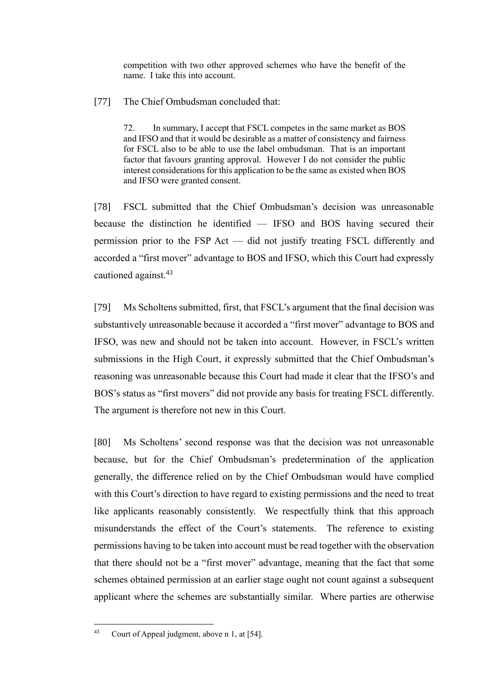competition with two other approved schemes who have the benefit of the name. I take this into account.

[77] The Chief Ombudsman concluded that:

72. In summary, I accept that FSCL competes in the same market as BOS and IFSO and that it would be desirable as a matter of consistency and fairness for FSCL also to be able to use the label ombudsman. That is an important factor that favours granting approval. However I do not consider the public interest considerations for this application to be the same as existed when BOS and IFSO were granted consent.

[78] FSCL submitted that the Chief Ombudsman's decision was unreasonable because the distinction he identified — IFSO and BOS having secured their permission prior to the FSP Act — did not justify treating FSCL differently and accorded a "first mover" advantage to BOS and IFSO, which this Court had expressly cautioned against.<sup>43</sup>

[79] Ms Scholtens submitted, first, that FSCL's argument that the final decision was substantively unreasonable because it accorded a "first mover" advantage to BOS and IFSO, was new and should not be taken into account. However, in FSCL's written submissions in the High Court, it expressly submitted that the Chief Ombudsman's reasoning was unreasonable because this Court had made it clear that the IFSO's and BOS's status as "first movers" did not provide any basis for treating FSCL differently. The argument is therefore not new in this Court.

[80] Ms Scholtens' second response was that the decision was not unreasonable because, but for the Chief Ombudsman's predetermination of the application generally, the difference relied on by the Chief Ombudsman would have complied with this Court's direction to have regard to existing permissions and the need to treat like applicants reasonably consistently. We respectfully think that this approach misunderstands the effect of the Court's statements. The reference to existing permissions having to be taken into account must be read together with the observation that there should not be a "first mover" advantage, meaning that the fact that some schemes obtained permission at an earlier stage ought not count against a subsequent applicant where the schemes are substantially similar. Where parties are otherwise

<sup>43</sup> Court of Appeal judgment, above n 1, at [54].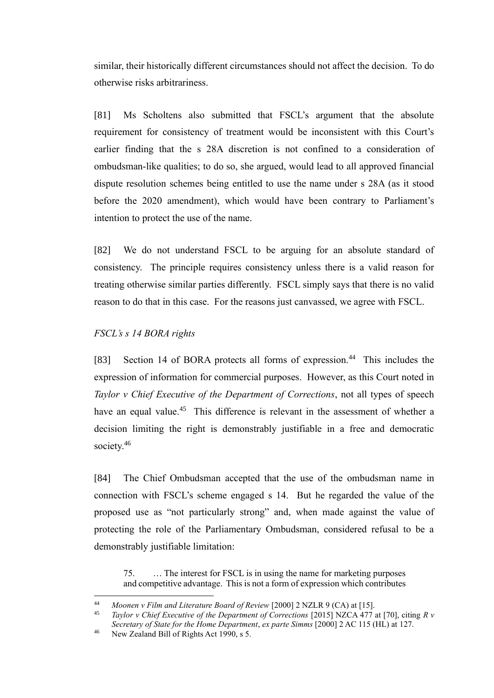similar, their historically different circumstances should not affect the decision. To do otherwise risks arbitrariness.

[81] Ms Scholtens also submitted that FSCL's argument that the absolute requirement for consistency of treatment would be inconsistent with this Court's earlier finding that the s 28A discretion is not confined to a consideration of ombudsman-like qualities; to do so, she argued, would lead to all approved financial dispute resolution schemes being entitled to use the name under s 28A (as it stood before the 2020 amendment), which would have been contrary to Parliament's intention to protect the use of the name.

[82] We do not understand FSCL to be arguing for an absolute standard of consistency. The principle requires consistency unless there is a valid reason for treating otherwise similar parties differently. FSCL simply says that there is no valid reason to do that in this case. For the reasons just canvassed, we agree with FSCL.

## *FSCL's s 14 BORA rights*

<span id="page-28-0"></span>[83] Section 14 of BORA protects all forms of expression.<sup>44</sup> This includes the expression of information for commercial purposes. However, as this Court noted in *Taylor v Chief Executive of the Department of Corrections*, not all types of speech have an equal value.<sup>45</sup> This difference is relevant in the assessment of whether a decision limiting the right is demonstrably justifiable in a free and democratic society.<sup>46</sup>

[84] The Chief Ombudsman accepted that the use of the ombudsman name in connection with FSCL's scheme engaged s 14. But he regarded the value of the proposed use as "not particularly strong" and, when made against the value of protecting the role of the Parliamentary Ombudsman, considered refusal to be a demonstrably justifiable limitation:

75. … The interest for FSCL is in using the name for marketing purposes and competitive advantage. This is not a form of expression which contributes

<sup>44</sup> *Moonen v Film and Literature Board of Review* [2000] 2 NZLR 9 (CA) at [15].

<sup>45</sup> *Taylor v Chief Executive of the Department of Corrections* [2015] NZCA 477 at [70], citing *R v Secretary of State for the Home Department*, *ex parte Simms* [2000] 2 AC 115 (HL) at 127.

<sup>&</sup>lt;sup>46</sup> New Zealand Bill of Rights Act 1990, s 5.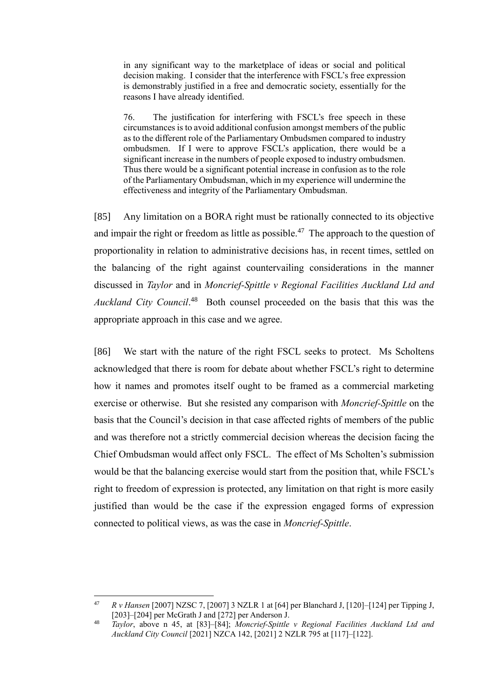in any significant way to the marketplace of ideas or social and political decision making. I consider that the interference with FSCL's free expression is demonstrably justified in a free and democratic society, essentially for the reasons I have already identified.

76. The justification for interfering with FSCL's free speech in these circumstances is to avoid additional confusion amongst members of the public as to the different role of the Parliamentary Ombudsmen compared to industry ombudsmen. If I were to approve FSCL's application, there would be a significant increase in the numbers of people exposed to industry ombudsmen. Thus there would be a significant potential increase in confusion as to the role of the Parliamentary Ombudsman, which in my experience will undermine the effectiveness and integrity of the Parliamentary Ombudsman.

[85] Any limitation on a BORA right must be rationally connected to its objective and impair the right or freedom as little as possible.<sup>47</sup> The approach to the question of proportionality in relation to administrative decisions has, in recent times, settled on the balancing of the right against countervailing considerations in the manner discussed in *Taylor* and in *Moncrief-Spittle v Regional Facilities Auckland Ltd and*  Auckland City Council.<sup>48</sup> Both counsel proceeded on the basis that this was the appropriate approach in this case and we agree.

[86] We start with the nature of the right FSCL seeks to protect. Ms Scholtens acknowledged that there is room for debate about whether FSCL's right to determine how it names and promotes itself ought to be framed as a commercial marketing exercise or otherwise. But she resisted any comparison with *Moncrief-Spittle* on the basis that the Council's decision in that case affected rights of members of the public and was therefore not a strictly commercial decision whereas the decision facing the Chief Ombudsman would affect only FSCL. The effect of Ms Scholten's submission would be that the balancing exercise would start from the position that, while FSCL's right to freedom of expression is protected, any limitation on that right is more easily justified than would be the case if the expression engaged forms of expression connected to political views, as was the case in *Moncrief-Spittle*.

<sup>47</sup> *R v Hansen* [2007] NZSC 7, [2007] 3 NZLR 1 at [64] per Blanchard J, [120]–[124] per Tipping J, [203]–[204] per McGrath J and [272] per Anderson J.

<sup>48</sup> *Taylor*, above n 45, at [83]–[84]; *Moncrief-Spittle v Regional Facilities Auckland Ltd and Auckland City Council* [2021] NZCA 142, [2021] 2 NZLR 795 at [117]–[122].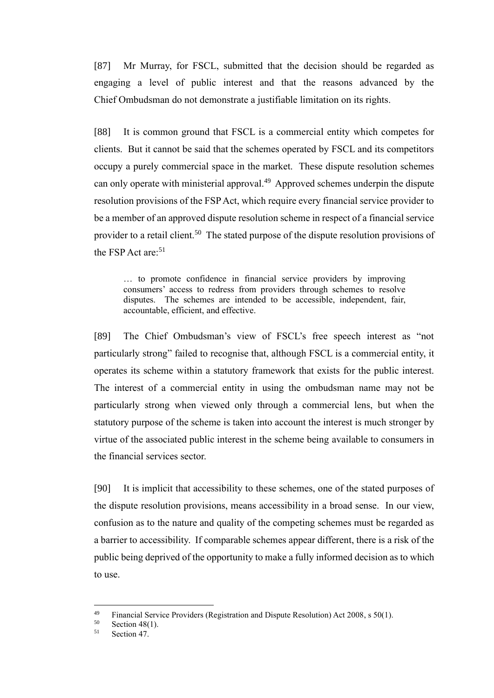[87] Mr Murray, for FSCL, submitted that the decision should be regarded as engaging a level of public interest and that the reasons advanced by the Chief Ombudsman do not demonstrate a justifiable limitation on its rights.

[88] It is common ground that FSCL is a commercial entity which competes for clients. But it cannot be said that the schemes operated by FSCL and its competitors occupy a purely commercial space in the market. These dispute resolution schemes can only operate with ministerial approval.<sup>49</sup> Approved schemes underpin the dispute resolution provisions of the FSP Act, which require every financial service provider to be a member of an approved dispute resolution scheme in respect of a financial service provider to a retail client.<sup>50</sup> The stated purpose of the dispute resolution provisions of the FSP Act are:<sup>51</sup>

… to promote confidence in financial service providers by improving consumers' access to redress from providers through schemes to resolve disputes. The schemes are intended to be accessible, independent, fair, accountable, efficient, and effective.

[89] The Chief Ombudsman's view of FSCL's free speech interest as "not particularly strong" failed to recognise that, although FSCL is a commercial entity, it operates its scheme within a statutory framework that exists for the public interest. The interest of a commercial entity in using the ombudsman name may not be particularly strong when viewed only through a commercial lens, but when the statutory purpose of the scheme is taken into account the interest is much stronger by virtue of the associated public interest in the scheme being available to consumers in the financial services sector.

[90] It is implicit that accessibility to these schemes, one of the stated purposes of the dispute resolution provisions, means accessibility in a broad sense. In our view, confusion as to the nature and quality of the competing schemes must be regarded as a barrier to accessibility. If comparable schemes appear different, there is a risk of the public being deprived of the opportunity to make a fully informed decision as to which to use.

<sup>&</sup>lt;sup>49</sup> Financial Service Providers (Registration and Dispute Resolution) Act 2008, s 50(1).<br>Socion 48(1)

 $^{50}$  Section 48(1).<br> $^{51}$  Section 47

Section 47.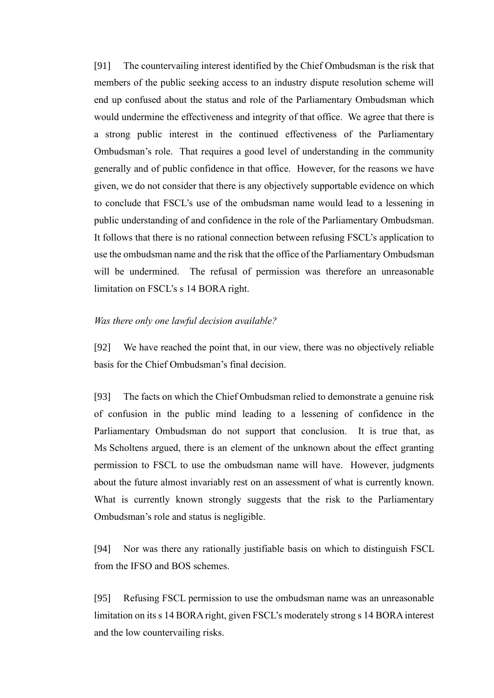[91] The countervailing interest identified by the Chief Ombudsman is the risk that members of the public seeking access to an industry dispute resolution scheme will end up confused about the status and role of the Parliamentary Ombudsman which would undermine the effectiveness and integrity of that office. We agree that there is a strong public interest in the continued effectiveness of the Parliamentary Ombudsman's role. That requires a good level of understanding in the community generally and of public confidence in that office. However, for the reasons we have given, we do not consider that there is any objectively supportable evidence on which to conclude that FSCL's use of the ombudsman name would lead to a lessening in public understanding of and confidence in the role of the Parliamentary Ombudsman. It follows that there is no rational connection between refusing FSCL's application to use the ombudsman name and the risk that the office of the Parliamentary Ombudsman will be undermined. The refusal of permission was therefore an unreasonable limitation on FSCL's s 14 BORA right.

#### *Was there only one lawful decision available?*

<span id="page-31-0"></span>[92] We have reached the point that, in our view, there was no objectively reliable basis for the Chief Ombudsman's final decision.

[93] The facts on which the Chief Ombudsman relied to demonstrate a genuine risk of confusion in the public mind leading to a lessening of confidence in the Parliamentary Ombudsman do not support that conclusion. It is true that, as Ms Scholtens argued, there is an element of the unknown about the effect granting permission to FSCL to use the ombudsman name will have. However, judgments about the future almost invariably rest on an assessment of what is currently known. What is currently known strongly suggests that the risk to the Parliamentary Ombudsman's role and status is negligible.

[94] Nor was there any rationally justifiable basis on which to distinguish FSCL from the IFSO and BOS schemes.

[95] Refusing FSCL permission to use the ombudsman name was an unreasonable limitation on its s 14 BORA right, given FSCL's moderately strong s 14 BORA interest and the low countervailing risks.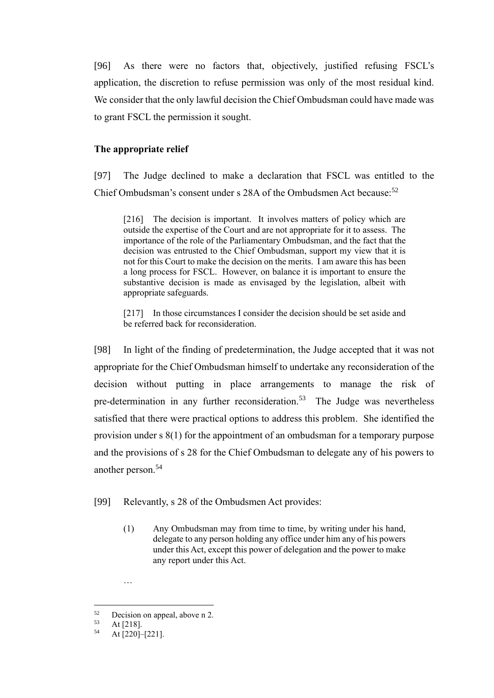[96] As there were no factors that, objectively, justified refusing FSCL's application, the discretion to refuse permission was only of the most residual kind. We consider that the only lawful decision the Chief Ombudsman could have made was to grant FSCL the permission it sought.

## **The appropriate relief**

<span id="page-32-0"></span>[97] The Judge declined to make a declaration that FSCL was entitled to the Chief Ombudsman's consent under s  $28A$  of the Ombudsmen Act because:<sup>52</sup>

[216] The decision is important. It involves matters of policy which are outside the expertise of the Court and are not appropriate for it to assess. The importance of the role of the Parliamentary Ombudsman, and the fact that the decision was entrusted to the Chief Ombudsman, support my view that it is not for this Court to make the decision on the merits. I am aware this has been a long process for FSCL. However, on balance it is important to ensure the substantive decision is made as envisaged by the legislation, albeit with appropriate safeguards.

[217] In those circumstances I consider the decision should be set aside and be referred back for reconsideration.

[98] In light of the finding of predetermination, the Judge accepted that it was not appropriate for the Chief Ombudsman himself to undertake any reconsideration of the decision without putting in place arrangements to manage the risk of pre-determination in any further reconsideration.<sup>53</sup> The Judge was nevertheless satisfied that there were practical options to address this problem. She identified the provision under s 8(1) for the appointment of an ombudsman for a temporary purpose and the provisions of s 28 for the Chief Ombudsman to delegate any of his powers to another person.<sup>54</sup>

[99] Relevantly, s 28 of the Ombudsmen Act provides:

(1) Any Ombudsman may from time to time, by writing under his hand, delegate to any person holding any office under him any of his powers under this Act, except this power of delegation and the power to make any report under this Act.

<sup>…</sup>

 $52$  Decision on appeal, above n 2.<br> $53$  At [218]

 $53$  At [218].<br> $54$  At [220]

At [220]–[221].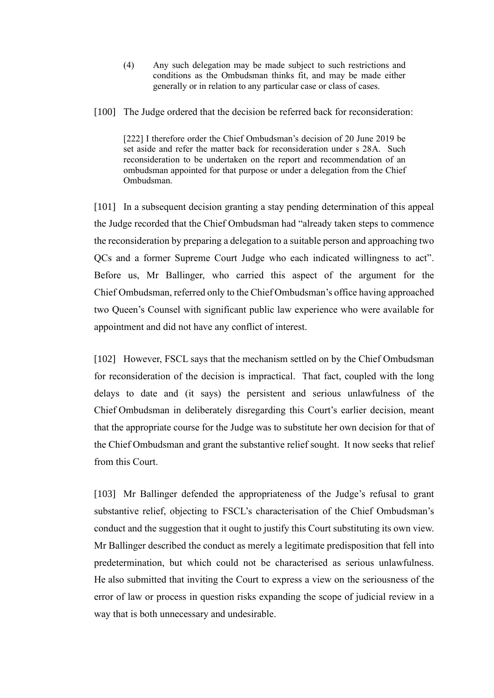- (4) Any such delegation may be made subject to such restrictions and conditions as the Ombudsman thinks fit, and may be made either generally or in relation to any particular case or class of cases.
- [100] The Judge ordered that the decision be referred back for reconsideration:

[222] I therefore order the Chief Ombudsman's decision of 20 June 2019 be set aside and refer the matter back for reconsideration under s 28A. Such reconsideration to be undertaken on the report and recommendation of an ombudsman appointed for that purpose or under a delegation from the Chief Ombudsman.

[101] In a subsequent decision granting a stay pending determination of this appeal the Judge recorded that the Chief Ombudsman had "already taken steps to commence the reconsideration by preparing a delegation to a suitable person and approaching two QCs and a former Supreme Court Judge who each indicated willingness to act". Before us, Mr Ballinger, who carried this aspect of the argument for the Chief Ombudsman, referred only to the Chief Ombudsman's office having approached two Queen's Counsel with significant public law experience who were available for appointment and did not have any conflict of interest.

[102] However, FSCL says that the mechanism settled on by the Chief Ombudsman for reconsideration of the decision is impractical. That fact, coupled with the long delays to date and (it says) the persistent and serious unlawfulness of the Chief Ombudsman in deliberately disregarding this Court's earlier decision, meant that the appropriate course for the Judge was to substitute her own decision for that of the Chief Ombudsman and grant the substantive relief sought. It now seeks that relief from this Court.

[103] Mr Ballinger defended the appropriateness of the Judge's refusal to grant substantive relief, objecting to FSCL's characterisation of the Chief Ombudsman's conduct and the suggestion that it ought to justify this Court substituting its own view. Mr Ballinger described the conduct as merely a legitimate predisposition that fell into predetermination, but which could not be characterised as serious unlawfulness. He also submitted that inviting the Court to express a view on the seriousness of the error of law or process in question risks expanding the scope of judicial review in a way that is both unnecessary and undesirable.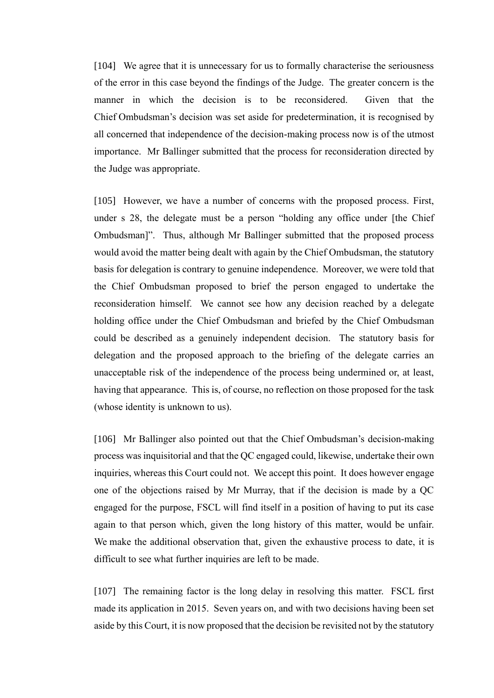[104] We agree that it is unnecessary for us to formally characterise the seriousness of the error in this case beyond the findings of the Judge. The greater concern is the manner in which the decision is to be reconsidered. Given that the Chief Ombudsman's decision was set aside for predetermination, it is recognised by all concerned that independence of the decision-making process now is of the utmost importance. Mr Ballinger submitted that the process for reconsideration directed by the Judge was appropriate.

[105] However, we have a number of concerns with the proposed process. First, under s 28, the delegate must be a person "holding any office under [the Chief Ombudsman]". Thus, although Mr Ballinger submitted that the proposed process would avoid the matter being dealt with again by the Chief Ombudsman, the statutory basis for delegation is contrary to genuine independence. Moreover, we were told that the Chief Ombudsman proposed to brief the person engaged to undertake the reconsideration himself. We cannot see how any decision reached by a delegate holding office under the Chief Ombudsman and briefed by the Chief Ombudsman could be described as a genuinely independent decision. The statutory basis for delegation and the proposed approach to the briefing of the delegate carries an unacceptable risk of the independence of the process being undermined or, at least, having that appearance. This is, of course, no reflection on those proposed for the task (whose identity is unknown to us).

[106] Mr Ballinger also pointed out that the Chief Ombudsman's decision-making process was inquisitorial and that the QC engaged could, likewise, undertake their own inquiries, whereas this Court could not. We accept this point. It does however engage one of the objections raised by Mr Murray, that if the decision is made by a QC engaged for the purpose, FSCL will find itself in a position of having to put its case again to that person which, given the long history of this matter, would be unfair. We make the additional observation that, given the exhaustive process to date, it is difficult to see what further inquiries are left to be made.

[107] The remaining factor is the long delay in resolving this matter. FSCL first made its application in 2015. Seven years on, and with two decisions having been set aside by this Court, it is now proposed that the decision be revisited not by the statutory